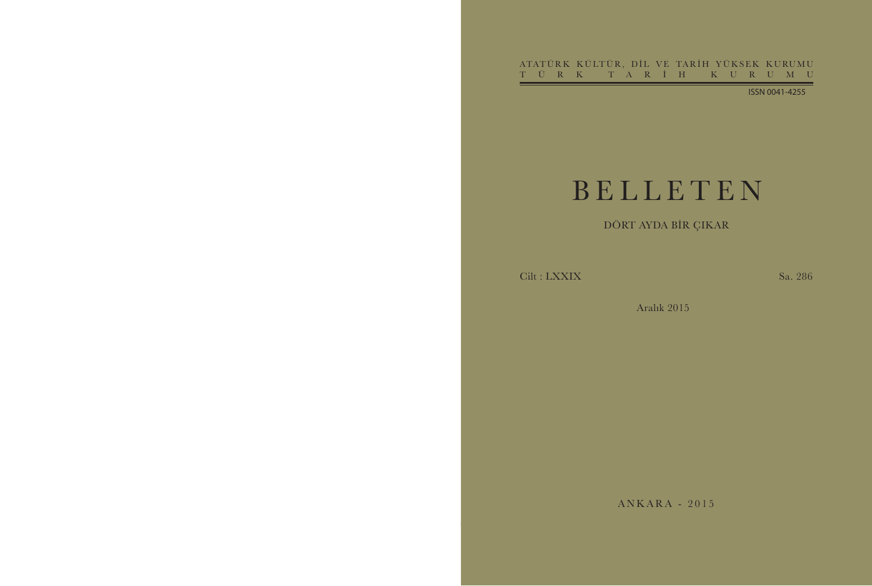ATATÜRK KÜLTÜR, DİL VE TARİH YÜKSEK KURUMU<br>TÜRK TARİH KURUMU TÜRK T ARİH K U R U M U

ISSN 0041-4255

# BELLETE N

# DÖRT AYDA BİR ÇIKAR

Cilt : LXXIX Sa. 286

Aralık 2015

ANKARA - 201 5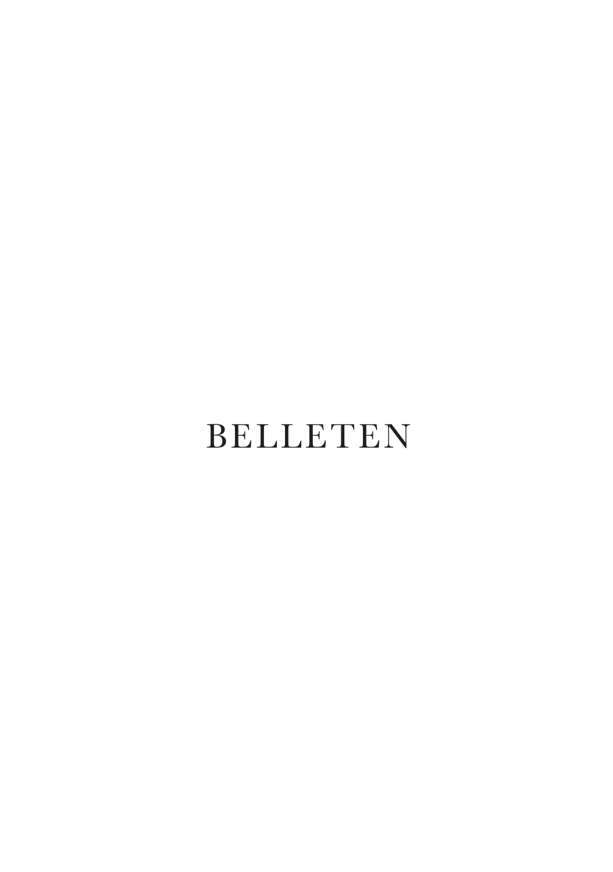# BELLETEN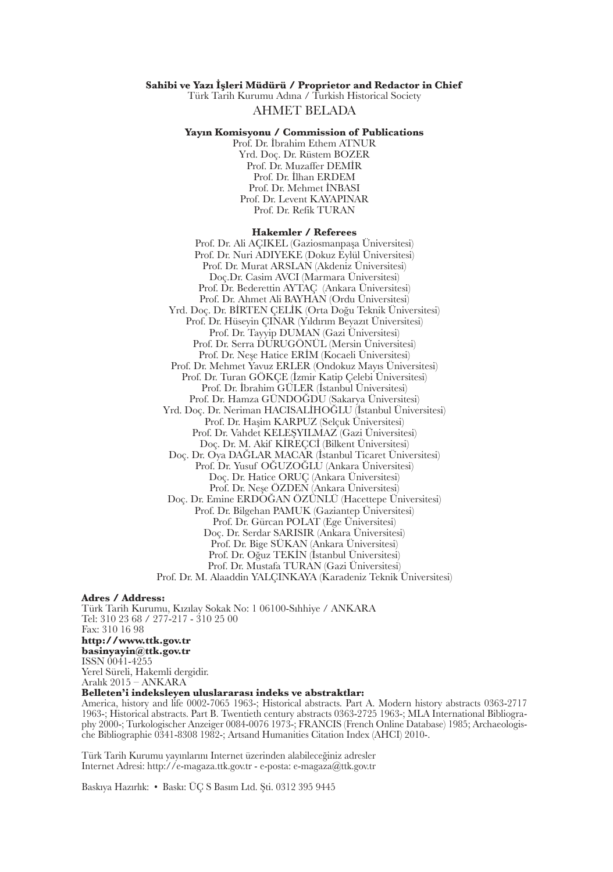#### **Sahibi ve Yazı İşleri Müdürü / Proprietor and Redactor in Chief**

Türk Tarih Kurumu Adına / Turkish Historical Society AHMET BELADA

### **Yayın Komisyonu / Commission of Publications**

Prof. Dr. İbrahim Ethem ATNUR Yrd. Doç. Dr. Rüstem BOZER Prof. Dr. Muzaffer DEMİR Prof. Dr. İlhan ERDEM Prof. Dr. Mehmet İNBASI Prof. Dr. Levent KAYAPINAR Prof. Dr. Refik TURAN

#### **Hakemler / Referees**

Prof. Dr. Ali AÇIKEL (Gaziosmanpaşa Üniversitesi) Prof. Dr. Nuri ADIYEKE (Dokuz Eylül Üniversitesi) Prof. Dr. Murat ARSLAN (Akdeniz Üniversitesi) Doç.Dr. Casim AVCI (Marmara Üniversitesi) Prof. Dr. Bederettin AYTAÇ (Ankara Üniversitesi) Prof. Dr. Ahmet Ali BAYHAN (Ordu Üniversitesi) Yrd. Doç. Dr. BİRTEN ÇELİK (Orta Doğu Teknik Üniversitesi) Prof. Dr. Hüseyin ÇINAR (Yıldırım Beyazıt Üniversitesi) Prof. Dr. Tayyip DUMAN (Gazi Üniversitesi) Prof. Dr. Serra DURUGÖNÜL (Mersin Üniversitesi) Prof. Dr. Neşe Hatice ERİM (Kocaeli Üniversitesi) Prof. Dr. Mehmet Yavuz ERLER (Ondokuz Mayıs Üniversitesi) Prof. Dr. Turan GÖKÇE (İzmir Katip Çelebi Üniversitesi) Prof. Dr. İbrahim GÜLER (İstanbul Üniversitesi) Prof. Dr. Hamza GÜNDOĞDU (Sakarya Üniversitesi) Yrd. Doç. Dr. Neriman HACISALİHOĞLU (İstanbul Üniversitesi) Prof. Dr. Haşim KARPUZ (Selçuk Üniversitesi) Prof. Dr. Vahdet KELEŞYILMAZ (Gazi Üniversitesi) Doç. Dr. M. Akif KİREÇCİ (Bilkent Üniversitesi) Doç. Dr. Oya DAĞLAR MACAR (İstanbul Ticaret Üniversitesi) Prof. Dr. Yusuf OĞUZOĞLU (Ankara Üniversitesi) Doç. Dr. Hatice ORUÇ (Ankara Üniversitesi) Prof. Dr. Neşe ÖZDEN (Ankara Üniversitesi) Doç. Dr. Emine ERDOĞAN ÖZÜNLÜ (Hacettepe Üniversitesi) Prof. Dr. Bilgehan PAMUK (Gaziantep Üniversitesi) Prof. Dr. Gürcan POLAT (Ege Üniversitesi) Doç. Dr. Serdar SARISIR (Ankara Üniversitesi) Prof. Dr. Bige SÜKAN (Ankara Üniversitesi) Prof. Dr. Oğuz TEKİN (İstanbul Üniversitesi) Prof. Dr. Mustafa TURAN (Gazi Üniversitesi) Prof. Dr. M. Alaaddin YALÇINKAYA (Karadeniz Teknik Üniversitesi)

#### **Adres / Address:**

Türk Tarih Kurumu, Kızılay Sokak No: 1 06100-Sıhhiye / ANKARA Tel: 310 23 68 / 277-217 - 310 25 00 Fax: 310 16 98 **http://www.ttk.gov.tr**

**basinyayin@ttk.gov.tr** ISSN 0041-4255 Yerel Süreli, Hakemli dergidir. Aralık 2015 – ANKARA

### **Belleten'i indeksleyen uluslararası indeks ve abstraktlar:**

America, history and life 0002-7065 1963-; Historical abstracts. Part A. Modern history abstracts 0363-2717 1963-; Historical abstracts. Part B. Twentieth century abstracts 0363-2725 1963-; MLA International Bibliography 2000-; Turkologischer Anzeiger 0084-0076 1973-; FRANCIS (French Online Database) 1985; Archaeologische Bibliographie 0341-8308 1982-; Artsand Humanities Citation Index (AHCI) 2010-.

Türk Tarih Kurumu yayınlarını Internet üzerinden alabileceğiniz adresler Internet Adresi: http://e-magaza.ttk.gov.tr - e-posta: e-magaza@ttk.gov.tr

Baskıya Hazırlık: • Baskı: ÜÇ S Basım Ltd. Şti. 0312 395 9445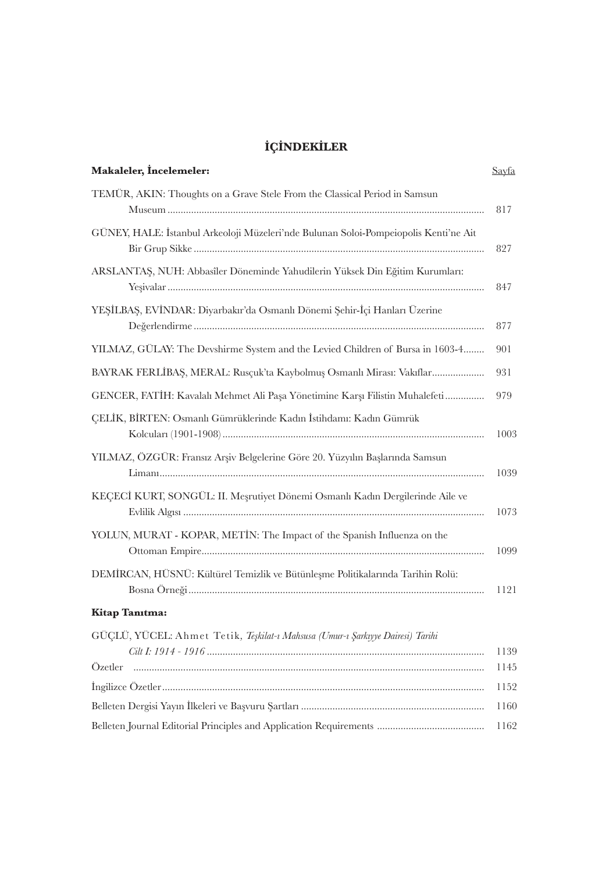## **İÇİNDEKİLER**

| <b>Makaleler, Incelemeler:</b>                                                       | <u>Sayfa</u> |
|--------------------------------------------------------------------------------------|--------------|
| TEMÜR, AKIN: Thoughts on a Grave Stele From the Classical Period in Samsun           | 817          |
| GÜNEY, HALE: İstanbul Arkeoloji Müzeleri'nde Bulunan Soloi-Pompeiopolis Kenti'ne Ait | 827          |
| ARSLANTAS, NUH: Abbasîler Döneminde Yahudilerin Yüksek Din Eğitim Kurumları:         | 847          |
| YEŞİLBAŞ, EVİNDAR: Diyarbakır'da Osmanlı Dönemi Şehir-İçi Hanları Üzerine            | 877          |
| YILMAZ, GÜLAY: The Devshirme System and the Levied Children of Bursa in 1603-4       | 901          |
| BAYRAK FERLİBAŞ, MERAL: Rusçuk'ta Kaybolmuş Osmanlı Mirası: Vakıflar                 | 931          |
| GENCER, FATİH: Kavalalı Mehmet Ali Paşa Yönetimine Karşı Filistin Muhalefeti         | 979          |
| CELİK, BİRTEN: Osmanlı Gümrüklerinde Kadın İstihdamı: Kadın Gümrük                   | 1003         |
| YILMAZ, ÖZGÜR: Fransız Arşiv Belgelerine Göre 20. Yüzyılın Başlarında Samsun         | 1039         |
| KEÇECİ KURT, SONGÜL: II. Meşrutiyet Dönemi Osmanlı Kadın Dergilerinde Aile ve        | 1073         |
| YOLUN, MURAT - KOPAR, METIN: The Impact of the Spanish Influenza on the              | 1099         |
| DEMİRCAN, HÜSNÜ: Kültürel Temizlik ve Bütünleşme Politikalarında Tarihin Rolü:       | 1121         |
| Kitap Tanıtma:                                                                       |              |
| GÜÇLÜ, YÜCEL: Ahmet Tetik, Teşkilat-ı Mahsusa (Umur-ı Şarkıyye Dairesi) Tarihi       | 1139         |
|                                                                                      | 1145         |
|                                                                                      | 1152         |
|                                                                                      | 1160         |
|                                                                                      | 1162         |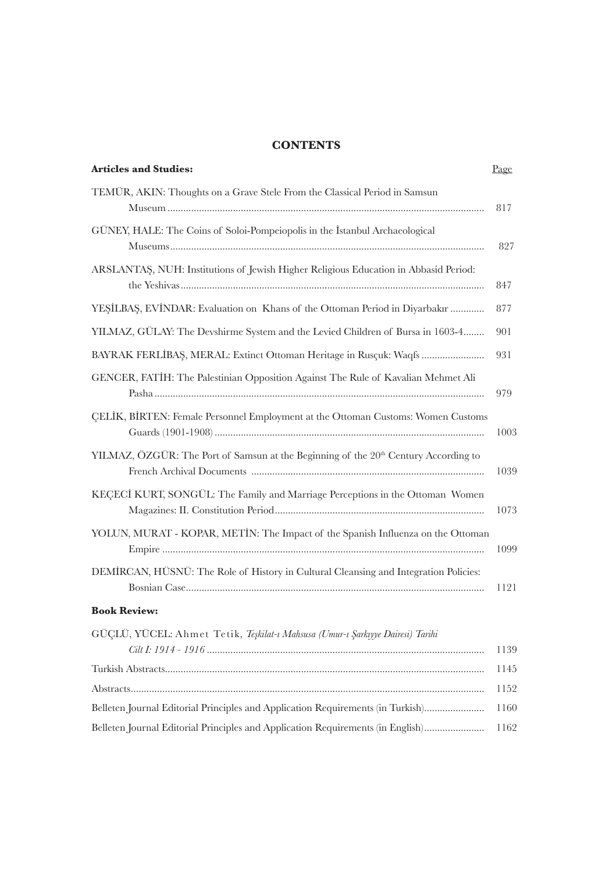## **CONTENTS**

| <b>Articles and Studies:</b>                                                                    | Page |
|-------------------------------------------------------------------------------------------------|------|
| TEMÜR, AKIN: Thoughts on a Grave Stele From the Classical Period in Samsun                      | 817  |
| GÜNEY, HALE: The Coins of Soloi-Pompeiopolis in the Istanbul Archaeological                     | 827  |
| ARSLANTAS, NUH: Institutions of Jewish Higher Religious Education in Abbasid Period:            | 847  |
| YEŞİLBAŞ, EVİNDAR: Evaluation on Khans of the Ottoman Period in Diyarbakır                      | 877  |
| YILMAZ, GÜLAY: The Devshirme System and the Levied Children of Bursa in 1603-4                  | 901  |
| BAYRAK FERLİBAŞ, MERAL: Extinct Ottoman Heritage in Rusçuk: Waqfs                               | 931  |
| GENCER, FATIH: The Palestinian Opposition Against The Rule of Kavalian Mehmet Ali               | 979  |
| CELIK, BIRTEN: Female Personnel Employment at the Ottoman Customs: Women Customs                | 1003 |
| YILMAZ, ÖZGÜR: The Port of Samsun at the Beginning of the 20 <sup>th</sup> Century According to | 1039 |
| KECECI KURT, SONGÜL: The Family and Marriage Perceptions in the Ottoman Women                   | 1073 |
| YOLUN, MURAT - KOPAR, METIN: The Impact of the Spanish Influenza on the Ottoman                 | 1099 |
| DEMIRCAN, HÜSNÜ: The Role of History in Cultural Cleansing and Integration Policies:            | 1121 |
| <b>Book Review:</b>                                                                             |      |
| GÜÇLÜ, YÜCEL: Ahmet Tetik, Teşkilat-ı Mahsusa (Umur-ı Şarkıyye Dairesi) Tarihi                  | 1139 |
|                                                                                                 | 1145 |
|                                                                                                 | 1152 |
| Belleten Journal Editorial Principles and Application Requirements (in Turkish)                 | 1160 |
| Belleten Journal Editorial Principles and Application Requirements (in English)                 | 1162 |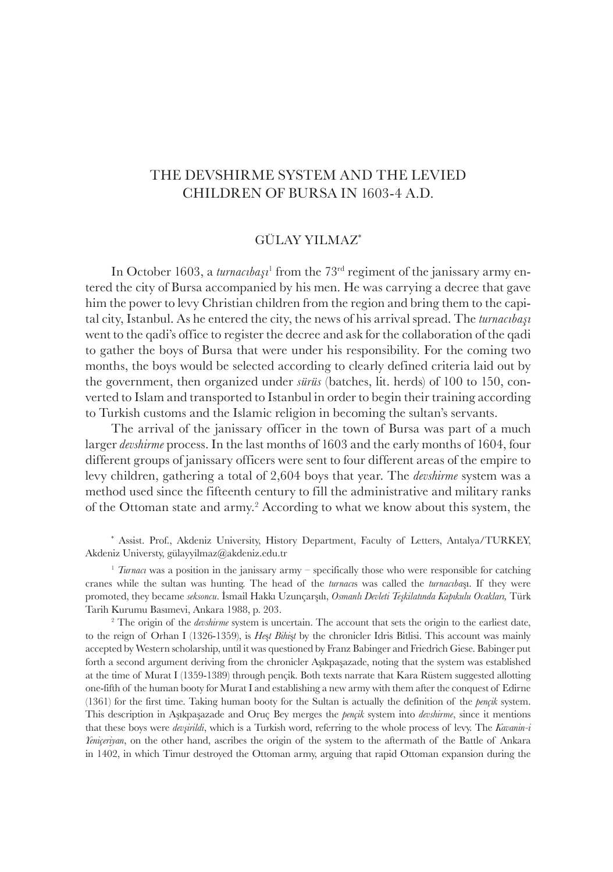## GÜLAY YILMAZ\*

In October 1603, a *turnacıbaşı*<sup>1</sup> from the 73<sup>rd</sup> regiment of the janissary army entered the city of Bursa accompanied by his men. He was carrying a decree that gave him the power to levy Christian children from the region and bring them to the capital city, Istanbul. As he entered the city, the news of his arrival spread. The *turnacıbaşı*  went to the qadi's office to register the decree and ask for the collaboration of the qadi to gather the boys of Bursa that were under his responsibility. For the coming two months, the boys would be selected according to clearly defined criteria laid out by the government, then organized under *sürüs* (batches, lit. herds) of 100 to 150, converted to Islam and transported to Istanbul in order to begin their training according to Turkish customs and the Islamic religion in becoming the sultan's servants.

The arrival of the janissary officer in the town of Bursa was part of a much larger *devshirme* process. In the last months of 1603 and the early months of 1604, four different groups of janissary officers were sent to four different areas of the empire to levy children, gathering a total of 2,604 boys that year. The *devshirme* system was a method used since the fifteenth century to fill the administrative and military ranks of the Ottoman state and army.<sup>2</sup> According to what we know about this system, the

\* Assist. Prof., Akdeniz University, History Department, Faculty of Letters, Antalya/TURKEY, Akdeniz Universty, gülayyilmaz@akdeniz.edu.tr

<sup>1</sup> *Turnaci* was a position in the janissary army – specifically those who were responsible for catching cranes while the sultan was hunting. The head of the *turnacı*s was called the *turnacıba*şı. If they were promoted, they became *seksoncu*. İsmail Hakkı Uzunçarşılı, *Osmanlı Devleti Teşkilatında Kapıkulu Ocakları,* Türk Tarih Kurumu Basımevi, Ankara 1988, p. 203.

<sup>2</sup> The origin of the *devshirme* system is uncertain. The account that sets the origin to the earliest date, to the reign of Orhan I (1326-1359), is *He*ş*t Bihi*ş*t* by the chronicler Idris Bitlisi. This account was mainly accepted by Western scholarship, until it was questioned by Franz Babinger and Friedrich Giese. Babinger put forth a second argument deriving from the chronicler Aşıkpaşazade, noting that the system was established at the time of Murat I (1359-1389) through pençik. Both texts narrate that Kara Rüstem suggested allotting one-fifth of the human booty for Murat I and establishing a new army with them after the conquest of Edirne (1361) for the first time. Taking human booty for the Sultan is actually the definition of the *pençik* system. This description in Aşıkpaşazade and Oruç Bey merges the *pençik* system into *devshirme*, since it mentions that these boys were *devşirildi*, which is a Turkish word, referring to the whole process of levy. The *Kavanin-i Yeniçeriyan*, on the other hand, ascribes the origin of the system to the aftermath of the Battle of Ankara in 1402, in which Timur destroyed the Ottoman army, arguing that rapid Ottoman expansion during the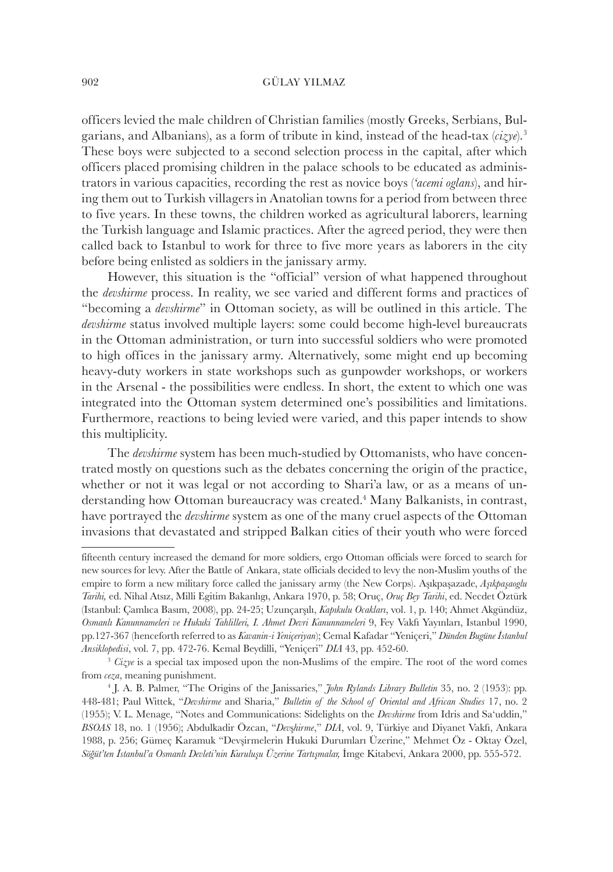officers levied the male children of Christian families (mostly Greeks, Serbians, Bulgarians, and Albanians), as a form of tribute in kind, instead of the head-tax (*cizye*).<sup>3</sup> These boys were subjected to a second selection process in the capital, after which officers placed promising children in the palace schools to be educated as administrators in various capacities, recording the rest as novice boys (*'acemi oglans*), and hiring them out to Turkish villagers in Anatolian towns for a period from between three to five years. In these towns, the children worked as agricultural laborers, learning the Turkish language and Islamic practices. After the agreed period, they were then called back to Istanbul to work for three to five more years as laborers in the city before being enlisted as soldiers in the janissary army.

However, this situation is the "official" version of what happened throughout the *devshirme* process. In reality, we see varied and different forms and practices of "becoming a *devshirme*" in Ottoman society, as will be outlined in this article. The *devshirme* status involved multiple layers: some could become high-level bureaucrats in the Ottoman administration, or turn into successful soldiers who were promoted to high offices in the janissary army. Alternatively, some might end up becoming heavy-duty workers in state workshops such as gunpowder workshops, or workers in the Arsenal - the possibilities were endless. In short, the extent to which one was integrated into the Ottoman system determined one's possibilities and limitations. Furthermore, reactions to being levied were varied, and this paper intends to show this multiplicity.

The *devshirme* system has been much-studied by Ottomanists, who have concentrated mostly on questions such as the debates concerning the origin of the practice, whether or not it was legal or not according to Shari'a law, or as a means of understanding how Ottoman bureaucracy was created.<sup>4</sup> Many Balkanists, in contrast, have portrayed the *devshirme* system as one of the many cruel aspects of the Ottoman invasions that devastated and stripped Balkan cities of their youth who were forced

fifteenth century increased the demand for more soldiers, ergo Ottoman officials were forced to search for new sources for levy. After the Battle of Ankara, state officials decided to levy the non-Muslim youths of the empire to form a new military force called the janissary army (the New Corps). Aşıkpaşazade, *Aşıkpaşaoglu Tarihi,* ed. Nihal Atsız, Milli Egitim Bakanlıgı, Ankara 1970, p. 58; Oruç, *Oruç Bey Tarihi*, ed. Necdet Öztürk (Istanbul: Çamlıca Basım, 2008), pp. 24-25; Uzunçarşılı, *Kapıkulu Ocakları*, vol. 1, p. 140; Ahmet Akgündüz, *Osmanlı Kanunnameleri ve Hukuki Tahlilleri, I. Ahmet Devri Kanunnameleri* 9, Fey Vakfı Yayınları, Istanbul 1990, pp.127-367 (henceforth referred to as *Kavanin-i Yeniçeriyan*); Cemal Kafadar "Yeniçeri," *Dünden Bugüne İstanbul Ansiklopedisi*, vol. 7, pp. 472-76. Kemal Beydilli, "Yeniçeri" *DIA* 43, pp. 452-60.

<sup>&</sup>lt;sup>3</sup> *Cizye* is a special tax imposed upon the non-Muslims of the empire. The root of the word comes from *ceza*, meaning punishment.

<sup>4</sup> J. A. B. Palmer, "The Origins of the Janissaries," *John Rylands Library Bulletin* 35, no. 2 (1953): pp. 448-481; Paul Wittek, "*Devshirme* and Sharia," *Bulletin of the School of Oriental and African Studies* 17, no. 2 (1955); V. L. Menage, "Notes and Communications: Sidelights on the *Devshirme* from Idris and Sa'uddin," *BSOAS* 18, no. 1 (1956); Abdulkadir Özcan, "*Dev*ş*hirme*," *DIA*, vol. 9, Türkiye and Diyanet Vakfı, Ankara 1988, p. 256; Gümeç Karamuk "Devşirmelerin Hukuki Durumları Üzerine," Mehmet Öz - Oktay Özel, *Söğüt'ten İstanbul'a Osmanlı Devleti'nin Kuruluşu Üzerine Tartışmalar,* İmge Kitabevi, Ankara 2000, pp. 555-572.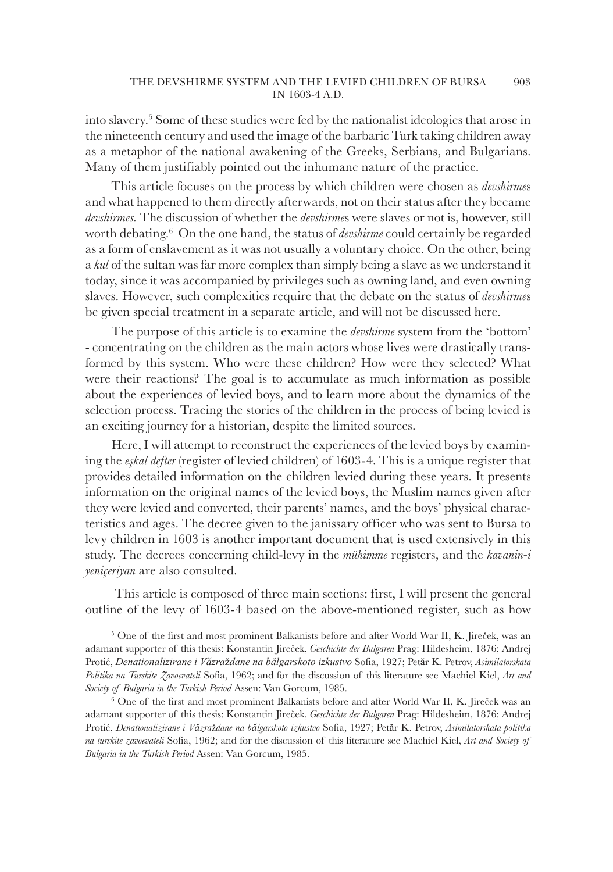into slavery.<sup>5</sup> Some of these studies were fed by the nationalist ideologies that arose in the nineteenth century and used the image of the barbaric Turk taking children away as a metaphor of the national awakening of the Greeks, Serbians, and Bulgarians. Many of them justifiably pointed out the inhumane nature of the practice.

This article focuses on the process by which children were chosen as *devshirme*s and what happened to them directly afterwards, not on their status after they became *devshirmes.* The discussion of whether the *devshirme*s were slaves or not is, however, still worth debating.<sup>6</sup> On the one hand, the status of *devshirme* could certainly be regarded as a form of enslavement as it was not usually a voluntary choice. On the other, being a *kul* of the sultan was far more complex than simply being a slave as we understand it today, since it was accompanied by privileges such as owning land, and even owning slaves. However, such complexities require that the debate on the status of *devshirme*s be given special treatment in a separate article, and will not be discussed here.

The purpose of this article is to examine the *devshirme* system from the 'bottom' - concentrating on the children as the main actors whose lives were drastically transformed by this system. Who were these children? How were they selected? What were their reactions? The goal is to accumulate as much information as possible about the experiences of levied boys, and to learn more about the dynamics of the selection process. Tracing the stories of the children in the process of being levied is an exciting journey for a historian, despite the limited sources.

Here, I will attempt to reconstruct the experiences of the levied boys by examining the *eşkal defter* (register of levied children) of 1603-4. This is a unique register that provides detailed information on the children levied during these years. It presents information on the original names of the levied boys, the Muslim names given after they were levied and converted, their parents' names, and the boys' physical characteristics and ages. The decree given to the janissary officer who was sent to Bursa to levy children in 1603 is another important document that is used extensively in this study. The decrees concerning child-levy in the *mühimme* registers, and the *kavanin-i yeniçeriyan* are also consulted.

 This article is composed of three main sections: first, I will present the general outline of the levy of 1603-4 based on the above-mentioned register, such as how

5 One of the first and most prominent Balkanists before and after World War II, K. Jireček, was an adamant supporter of this thesis: Konstantin Jireček, *Geschichte der Bulgaren* Prag: Hildesheim, 1876; Andrej Protić, *Denationalizirane i Văzra*ž*dane na bălgarskoto izkustvo* Sofia, 1927; Petăr K. Petrov, *Asimilatorskata Politika na Turskite Zavoevateli* Sofia, 1962; and for the discussion of this literature see Machiel Kiel, *Art and Society of Bulgaria in the Turkish Period* Assen: Van Gorcum, 1985.

6 One of the first and most prominent Balkanists before and after World War II, K. Jireček was an adamant supporter of this thesis: Konstantin Jireček, *Geschichte der Bulgaren* Prag: Hildesheim, 1876; Andrej Protić, *Denationalizirane i Văzra*ž*dane na bălgarskoto izkustvo* Sofia, 1927; Petăr K. Petrov, *Asimilatorskata politika na turskite zavoevateli* Sofia, 1962; and for the discussion of this literature see Machiel Kiel, *Art and Society of Bulgaria in the Turkish Period* Assen: Van Gorcum, 1985.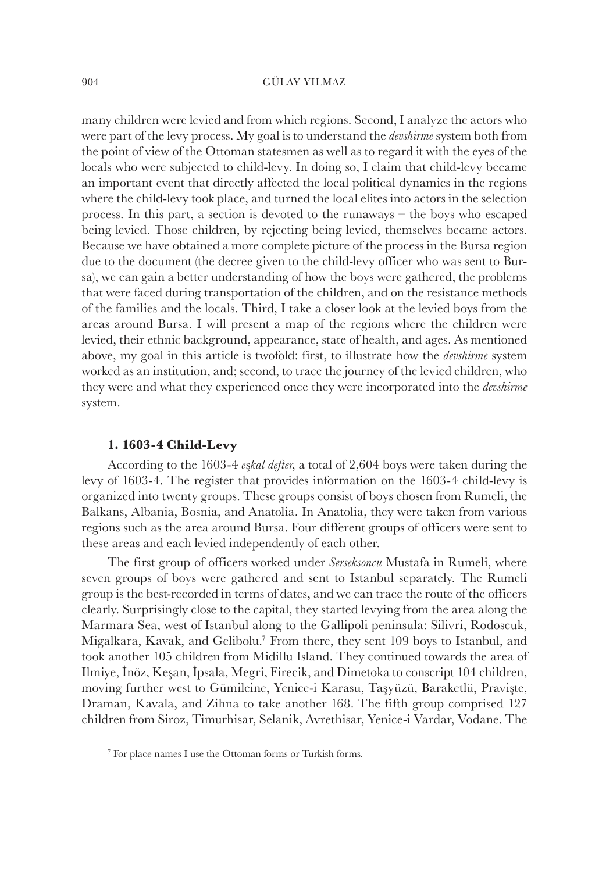many children were levied and from which regions. Second, I analyze the actors who were part of the levy process. My goal is to understand the *devshirme* system both from the point of view of the Ottoman statesmen as well as to regard it with the eyes of the locals who were subjected to child-levy. In doing so, I claim that child-levy became an important event that directly affected the local political dynamics in the regions where the child-levy took place, and turned the local elites into actors in the selection process. In this part, a section is devoted to the runaways – the boys who escaped being levied. Those children, by rejecting being levied, themselves became actors. Because we have obtained a more complete picture of the process in the Bursa region due to the document (the decree given to the child-levy officer who was sent to Bursa), we can gain a better understanding of how the boys were gathered, the problems that were faced during transportation of the children, and on the resistance methods of the families and the locals. Third, I take a closer look at the levied boys from the areas around Bursa. I will present a map of the regions where the children were levied, their ethnic background, appearance, state of health, and ages. As mentioned above, my goal in this article is twofold: first, to illustrate how the *devshirme* system worked as an institution, and; second, to trace the journey of the levied children, who they were and what they experienced once they were incorporated into the *devshirme* system.

## **1. 1603-4 Child-Levy**

According to the 1603-4 *e*ş*kal defter*, a total of 2,604 boys were taken during the levy of 1603-4. The register that provides information on the 1603-4 child-levy is organized into twenty groups. These groups consist of boys chosen from Rumeli, the Balkans, Albania, Bosnia, and Anatolia. In Anatolia, they were taken from various regions such as the area around Bursa. Four different groups of officers were sent to these areas and each levied independently of each other.

The first group of officers worked under *Serseksoncu* Mustafa in Rumeli, where seven groups of boys were gathered and sent to Istanbul separately. The Rumeli group is the best-recorded in terms of dates, and we can trace the route of the officers clearly. Surprisingly close to the capital, they started levying from the area along the Marmara Sea, west of Istanbul along to the Gallipoli peninsula: Silivri, Rodoscuk, Migalkara, Kavak, and Gelibolu.<sup>7</sup> From there, they sent 109 boys to Istanbul, and took another 105 children from Midillu Island. They continued towards the area of Ilmiye, İnöz, Keşan, İpsala, Megri, Firecik, and Dimetoka to conscript 104 children, moving further west to Gümilcine, Yenice-i Karasu, Taşyüzü, Baraketlü, Pravişte, Draman, Kavala, and Zihna to take another 168. The fifth group comprised 127 children from Siroz, Timurhisar, Selanik, Avrethisar, Yenice-i Vardar, Vodane. The

<sup>7</sup> For place names I use the Ottoman forms or Turkish forms.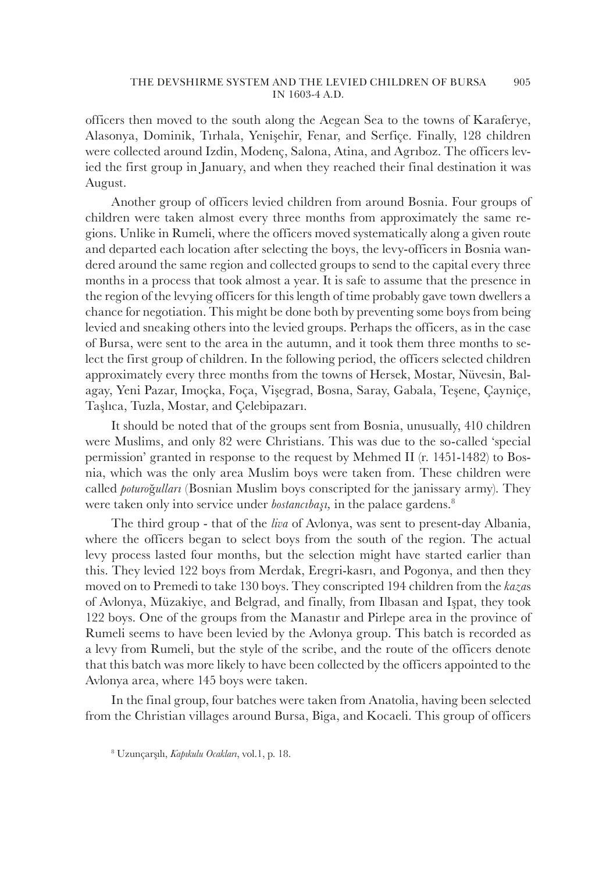officers then moved to the south along the Aegean Sea to the towns of Karaferye, Alasonya, Dominik, Tırhala, Yenişehir, Fenar, and Serfiçe. Finally, 128 children were collected around Izdin, Modenç, Salona, Atina, and Agrıboz. The officers levied the first group in January, and when they reached their final destination it was August.

Another group of officers levied children from around Bosnia. Four groups of children were taken almost every three months from approximately the same regions. Unlike in Rumeli, where the officers moved systematically along a given route and departed each location after selecting the boys, the levy-officers in Bosnia wandered around the same region and collected groups to send to the capital every three months in a process that took almost a year. It is safe to assume that the presence in the region of the levying officers for this length of time probably gave town dwellers a chance for negotiation. This might be done both by preventing some boys from being levied and sneaking others into the levied groups. Perhaps the officers, as in the case of Bursa, were sent to the area in the autumn, and it took them three months to select the first group of children. In the following period, the officers selected children approximately every three months from the towns of Hersek, Mostar, Nüvesin, Balagay, Yeni Pazar, Imoçka, Foça, Vişegrad, Bosna, Saray, Gabala, Teşene, Çayniçe, Taşlıca, Tuzla, Mostar, and Çelebipazarı.

It should be noted that of the groups sent from Bosnia, unusually, 410 children were Muslims, and only 82 were Christians. This was due to the so-called 'special permission' granted in response to the request by Mehmed II (r. 1451-1482) to Bosnia, which was the only area Muslim boys were taken from. These children were called *poturo*ğ*ulları* (Bosnian Muslim boys conscripted for the janissary army). They were taken only into service under *bostancibaşi*, in the palace gardens.<sup>8</sup>

The third group - that of the *liva* of Avlonya, was sent to present-day Albania, where the officers began to select boys from the south of the region. The actual levy process lasted four months, but the selection might have started earlier than this. They levied 122 boys from Merdak, Eregri-kasrı, and Pogonya, and then they moved on to Premedi to take 130 boys. They conscripted 194 children from the *kaza*s of Avlonya, Müzakiye, and Belgrad, and finally, from Ilbasan and Işpat, they took 122 boys. One of the groups from the Manastır and Pirlepe area in the province of Rumeli seems to have been levied by the Avlonya group. This batch is recorded as a levy from Rumeli, but the style of the scribe, and the route of the officers denote that this batch was more likely to have been collected by the officers appointed to the Avlonya area, where 145 boys were taken.

In the final group, four batches were taken from Anatolia, having been selected from the Christian villages around Bursa, Biga, and Kocaeli. This group of officers

<sup>8</sup> Uzunçarşılı, *Kapıkulu Ocakları*, vol.1, p. 18.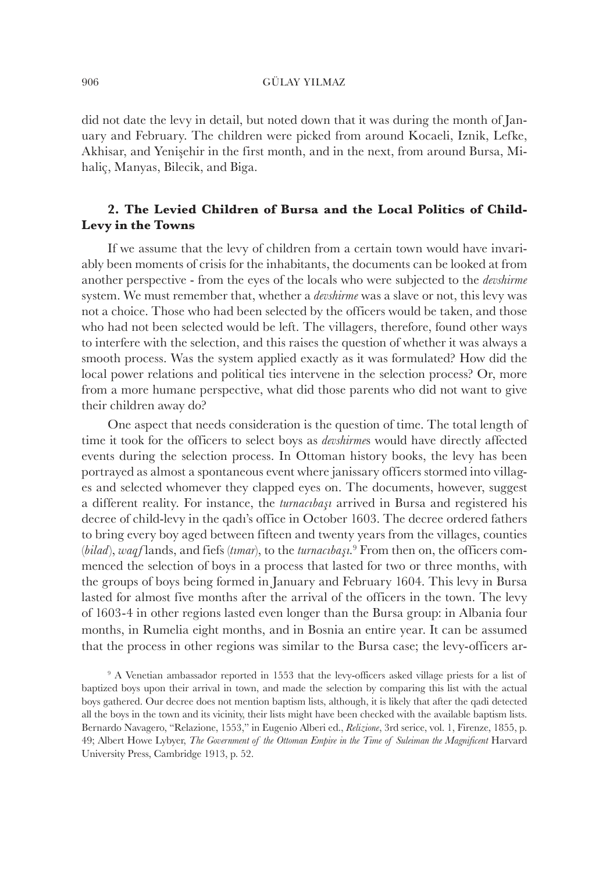did not date the levy in detail, but noted down that it was during the month of January and February. The children were picked from around Kocaeli, Iznik, Lefke, Akhisar, and Yenişehir in the first month, and in the next, from around Bursa, Mihaliç, Manyas, Bilecik, and Biga.

## **2. The Levied Children of Bursa and the Local Politics of Child-Levy in the Towns**

If we assume that the levy of children from a certain town would have invariably been moments of crisis for the inhabitants, the documents can be looked at from another perspective - from the eyes of the locals who were subjected to the *devshirme* system. We must remember that, whether a *devshirme* was a slave or not, this levy was not a choice. Those who had been selected by the officers would be taken, and those who had not been selected would be left. The villagers, therefore, found other ways to interfere with the selection, and this raises the question of whether it was always a smooth process. Was the system applied exactly as it was formulated? How did the local power relations and political ties intervene in the selection process? Or, more from a more humane perspective, what did those parents who did not want to give their children away do?

One aspect that needs consideration is the question of time. The total length of time it took for the officers to select boys as *devshirme*s would have directly affected events during the selection process. In Ottoman history books, the levy has been portrayed as almost a spontaneous event where janissary officers stormed into villages and selected whomever they clapped eyes on. The documents, however, suggest a different reality. For instance, the *turnacıbaşı* arrived in Bursa and registered his decree of child-levy in the qadı's office in October 1603. The decree ordered fathers to bring every boy aged between fifteen and twenty years from the villages, counties (*bilad*), *waqf* lands, and fiefs (*tımar*), to the *turnacıbaşı.*<sup>9</sup> From then on, the officers commenced the selection of boys in a process that lasted for two or three months, with the groups of boys being formed in January and February 1604. This levy in Bursa lasted for almost five months after the arrival of the officers in the town. The levy of 1603-4 in other regions lasted even longer than the Bursa group: in Albania four months, in Rumelia eight months, and in Bosnia an entire year. It can be assumed that the process in other regions was similar to the Bursa case; the levy-officers ar-

<sup>&</sup>lt;sup>9</sup> A Venetian ambassador reported in 1553 that the levy-officers asked village priests for a list of baptized boys upon their arrival in town, and made the selection by comparing this list with the actual boys gathered. Our decree does not mention baptism lists, although, it is likely that after the qadi detected all the boys in the town and its vicinity, their lists might have been checked with the available baptism lists. Bernardo Navagero, "Relazione, 1553," in Eugenio Alberi ed., *Relizione*, 3rd serice, vol. 1, Firenze, 1855, p. 49; Albert Howe Lybyer, *The Government of the Ottoman Empire in the Time of Suleiman the Magnificent* Harvard University Press, Cambridge 1913, p. 52.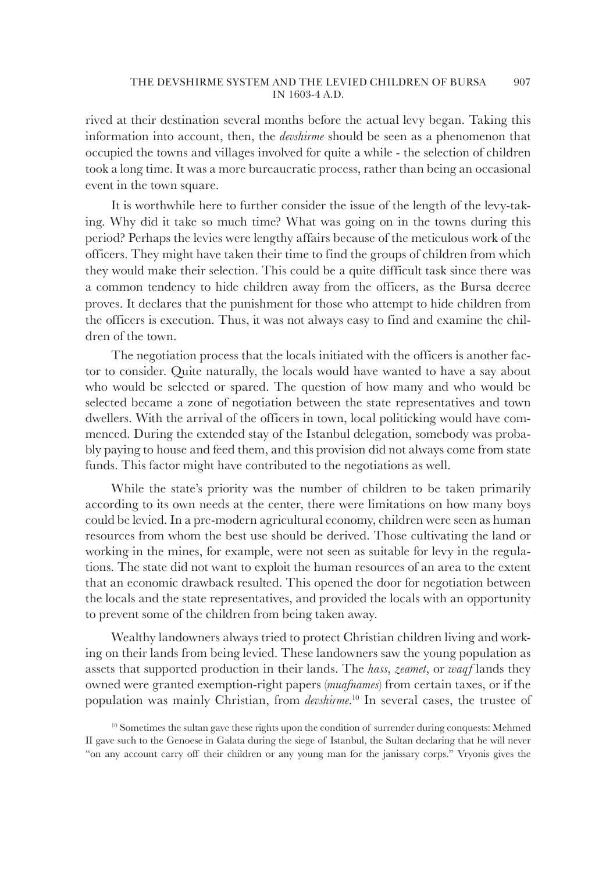rived at their destination several months before the actual levy began. Taking this information into account, then, the *devshirme* should be seen as a phenomenon that occupied the towns and villages involved for quite a while - the selection of children took a long time. It was a more bureaucratic process, rather than being an occasional event in the town square.

It is worthwhile here to further consider the issue of the length of the levy-taking. Why did it take so much time? What was going on in the towns during this period? Perhaps the levies were lengthy affairs because of the meticulous work of the officers. They might have taken their time to find the groups of children from which they would make their selection. This could be a quite difficult task since there was a common tendency to hide children away from the officers, as the Bursa decree proves. It declares that the punishment for those who attempt to hide children from the officers is execution. Thus, it was not always easy to find and examine the children of the town.

The negotiation process that the locals initiated with the officers is another factor to consider. Quite naturally, the locals would have wanted to have a say about who would be selected or spared. The question of how many and who would be selected became a zone of negotiation between the state representatives and town dwellers. With the arrival of the officers in town, local politicking would have commenced. During the extended stay of the Istanbul delegation, somebody was probably paying to house and feed them, and this provision did not always come from state funds. This factor might have contributed to the negotiations as well.

While the state's priority was the number of children to be taken primarily according to its own needs at the center, there were limitations on how many boys could be levied. In a pre-modern agricultural economy, children were seen as human resources from whom the best use should be derived. Those cultivating the land or working in the mines, for example, were not seen as suitable for levy in the regulations. The state did not want to exploit the human resources of an area to the extent that an economic drawback resulted. This opened the door for negotiation between the locals and the state representatives, and provided the locals with an opportunity to prevent some of the children from being taken away.

Wealthy landowners always tried to protect Christian children living and working on their lands from being levied. These landowners saw the young population as assets that supported production in their lands. The *hass*, *zeamet*, or *waqf* lands they owned were granted exemption-right papers (*muafnames*) from certain taxes, or if the population was mainly Christian, from *devshirme*. <sup>10</sup> In several cases, the trustee of

<sup>10</sup> Sometimes the sultan gave these rights upon the condition of surrender during conquests: Mehmed II gave such to the Genoese in Galata during the siege of Istanbul, the Sultan declaring that he will never "on any account carry off their children or any young man for the janissary corps." Vryonis gives the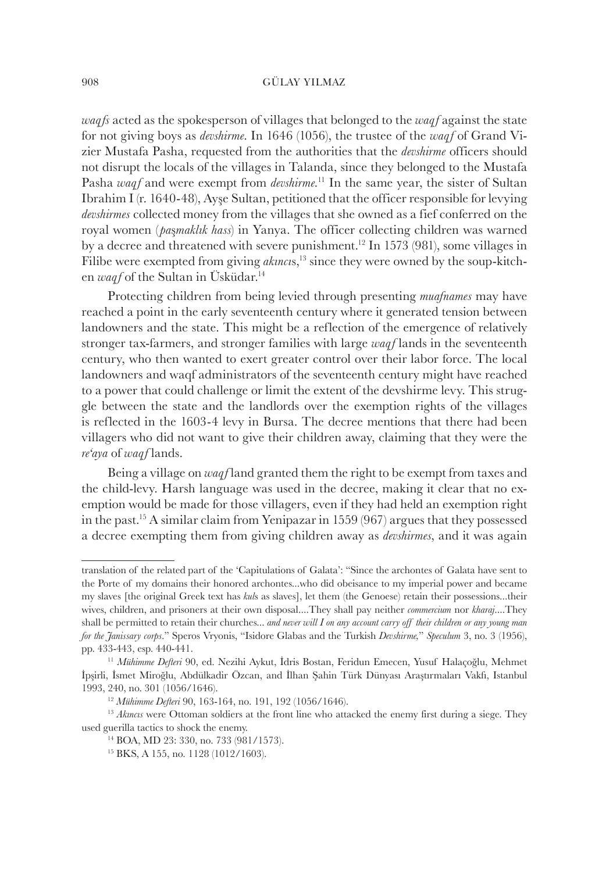*waqfs* acted as the spokesperson of villages that belonged to the *waqf* against the state for not giving boys as *devshirme*. In 1646 (1056), the trustee of the *waqf* of Grand Vizier Mustafa Pasha, requested from the authorities that the *devshirme* officers should not disrupt the locals of the villages in Talanda, since they belonged to the Mustafa Pasha *waqf* and were exempt from *devshirme.*<sup>11</sup> In the same year, the sister of Sultan Ibrahim I (r. 1640-48), Ayşe Sultan, petitioned that the officer responsible for levying *devshirmes* collected money from the villages that she owned as a fief conferred on the royal women ( *pa*ş*maklık hass*) in Yanya. The officer collecting children was warned by a decree and threatened with severe punishment.<sup>12</sup> In 1573 (981), some villages in Filibe were exempted from giving *akincis*<sup>13</sup> since they were owned by the soup-kitchen *waqf* of the Sultan in Üsküdar.<sup>14</sup>

Protecting children from being levied through presenting *muafnames* may have reached a point in the early seventeenth century where it generated tension between landowners and the state. This might be a reflection of the emergence of relatively stronger tax-farmers, and stronger families with large *waqf* lands in the seventeenth century, who then wanted to exert greater control over their labor force. The local landowners and waqf administrators of the seventeenth century might have reached to a power that could challenge or limit the extent of the devshirme levy. This struggle between the state and the landlords over the exemption rights of the villages is reflected in the 1603-4 levy in Bursa. The decree mentions that there had been villagers who did not want to give their children away, claiming that they were the *re'aya* of *waqf* lands.

Being a village on *waqf* land granted them the right to be exempt from taxes and the child-levy. Harsh language was used in the decree, making it clear that no exemption would be made for those villagers, even if they had held an exemption right in the past.<sup>15</sup> A similar claim from Yenipazar in 1559 (967) argues that they possessed a decree exempting them from giving children away as *devshirmes*, and it was again

translation of the related part of the 'Capitulations of Galata': "Since the archontes of Galata have sent to the Porte of my domains their honored archontes...who did obeisance to my imperial power and became my slaves [the original Greek text has *kul*s as slaves], let them (the Genoese) retain their possessions...their wives, children, and prisoners at their own disposal....They shall pay neither *commercium* nor *kharaj*....They shall be permitted to retain their churches... *and never will I on any account carry off their children or any young man for the Janissary corps*." Speros Vryonis, "Isidore Glabas and the Turkish *Devshirme,*" *Speculum* 3, no. 3 (1956), pp. 433-443, esp. 440-441.

<sup>11</sup> *Mühimme Defteri* 90, ed. Nezihi Aykut, İdris Bostan, Feridun Emecen, Yusuf Halaçoğlu, Mehmet İpşirli, İsmet Miroğlu, Abdülkadir Özcan, and İlhan Şahin Türk Dünyası Araştırmaları Vakfı, Istanbul 1993, 240, no. 301 (1056/1646).

<sup>12</sup> *Mühimme Defteri* 90, 163-164, no. 191, 192 (1056/1646).

<sup>&</sup>lt;sup>13</sup> *Aknow* were Ottoman soldiers at the front line who attacked the enemy first during a siege. They used guerilla tactics to shock the enemy.

<sup>14</sup> BOA, MD 23: 330, no. 733 (981/1573).

<sup>15</sup> BKS, A 155, no. 1128 (1012/1603).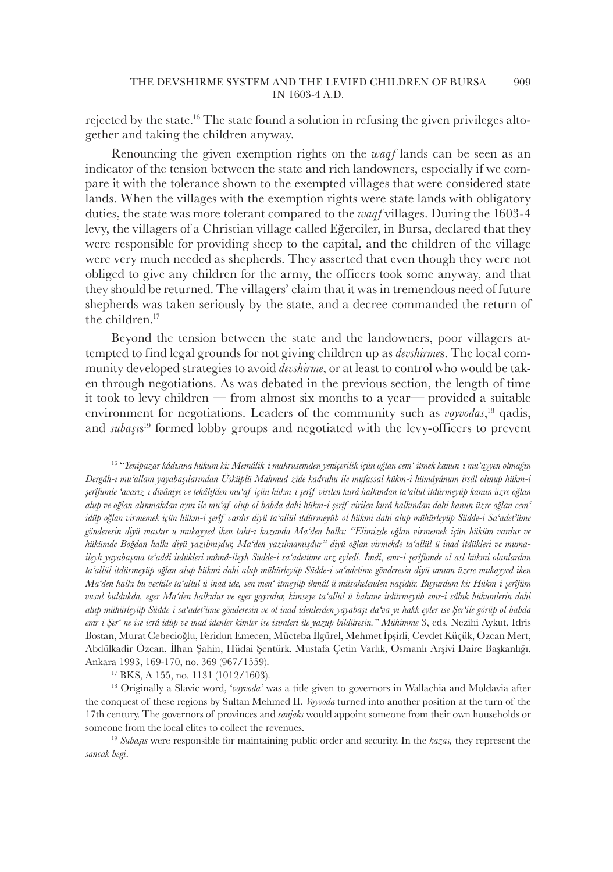rejected by the state.16 The state found a solution in refusing the given privileges altogether and taking the children anyway.

Renouncing the given exemption rights on the *waqf* lands can be seen as an indicator of the tension between the state and rich landowners, especially if we compare it with the tolerance shown to the exempted villages that were considered state lands. When the villages with the exemption rights were state lands with obligatory duties, the state was more tolerant compared to the *waqf* villages. During the 1603-4 levy, the villagers of a Christian village called Eğerciler, in Bursa, declared that they were responsible for providing sheep to the capital, and the children of the village were very much needed as shepherds. They asserted that even though they were not obliged to give any children for the army, the officers took some anyway, and that they should be returned. The villagers' claim that it was in tremendous need of future shepherds was taken seriously by the state, and a decree commanded the return of the children.<sup>17</sup>

Beyond the tension between the state and the landowners, poor villagers attempted to find legal grounds for not giving children up as *devshirme*s. The local community developed strategies to avoid *devshirme*, or at least to control who would be taken through negotiations. As was debated in the previous section, the length of time it took to levy children — from almost six months to a year— provided a suitable environment for negotiations. Leaders of the community such as *voyvodas*,<sup>18</sup> qadis, and *subaşı*s <sup>19</sup> formed lobby groups and negotiated with the levy-officers to prevent

<sup>16</sup> "*Yenipazar kâdısına hüküm ki: Memâlik-i mahrusemden yeniçerilik içün oğlan cem' itmek kanun-ı mu'ayyen olmağın Dergâh-ı mu'allam yayabaşılarından Üsküplü Mahmud zîde kadruhu ile mufassal hükm-i hümâyûnum irsâl olınup hükm-i şerîfümle 'avarız-ı divâniye ve tekâlifden mu'af içün hükm-i şerîf virilen kurâ halkından ta'allül itdürmeyüp kanun üzre oğlan alup ve oğlan alınmakdan aynı ile mu'af olup ol babda dahi hükm-i şerîf virilen kurâ halkından dahi kanun üzre oğlan cem' idüp oğlan virmemek içün hükm-i şerîf vardır diyü ta'allül itdürmeyüb ol hükmi dahi alup mühürleyüp Südde-i Sa'adet'üme gönderesin diyü mastur u mukayyed iken taht-ı kazanda Ma'den halkı: "Elimizde oğlan virmemek içün hüküm vardur ve hükümde Boğdan halkı diyü yazılmışdur, Ma'den yazılmamışdur" diyü oğlan virmekde ta'allül ü inad itdükleri ve mumaileyh yayabaşına te'addi itdükleri mûmâ-ileyh Südde-i sa'adetüme arz eyledi. İmdi, emr-i şerîfümde ol asl hükmi olanlardan ta'allül itdürmeyüp oğlan alup hükmi dahi alup mühürleyüp Südde-i sa'adetime gönderesin diyü umum üzere mukayyed iken Ma'den halkı bu vechile ta'allül ü inad ide, sen men' itmeyüp ihmâl ü müsahelenden naşidür. Buyurdum ki: Hükm-i şerîfüm vusul buldukda, eger Ma'den halkıdur ve eger gayrıdur, kimseye ta'allül ü bahane itdürmeyüb emr-i sâbık hükümlerin dahi alup mühürleyüp Südde-i sa'adet'üme gönderesin ve ol inad idenlerden yayabaşı da'va-yı hakk eyler ise Şer'ile görüp ol babda emr-i Şer' ne ise icrâ idüp ve inad idenler kimler ise isimleri ile yazup bildüresin." Mühimme* 3, eds. Nezihi Aykut, Idris Bostan, Murat Cebecioğlu, Feridun Emecen, Mücteba İlgürel, Mehmet İpşirli, Cevdet Küçük, Özcan Mert, Abdülkadir Özcan, İlhan Şahin, Hüdai Şentürk, Mustafa Çetin Varlık, Osmanlı Arşivi Daire Başkanlığı, Ankara 1993, 169-170, no. 369 (967/1559).

<sup>17</sup> BKS, A 155, no. 1131 (1012/1603).

<sup>18</sup> Originally a Slavic word, '*voyvoda'* was a title given to governors in Wallachia and Moldavia after the conquest of these regions by Sultan Mehmed II. *Voyvoda* turned into another position at the turn of the 17th century. The governors of provinces and *sanjaks* would appoint someone from their own households or someone from the local elites to collect the revenues.

<sup>19</sup> *Subaşıs* were responsible for maintaining public order and security. In the *kazas,* they represent the *sancak begi*.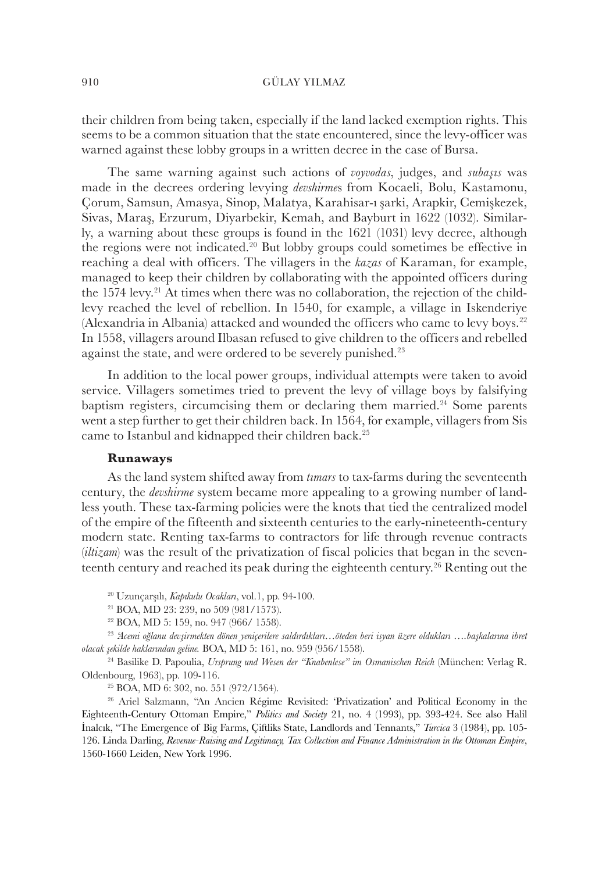their children from being taken, especially if the land lacked exemption rights. This seems to be a common situation that the state encountered, since the levy-officer was warned against these lobby groups in a written decree in the case of Bursa.

The same warning against such actions of *voyvodas*, judges, and *subaşıs* was made in the decrees ordering levying *devshirme*s from Kocaeli, Bolu, Kastamonu, Çorum, Samsun, Amasya, Sinop, Malatya, Karahisar-ı şarki, Arapkir, Cemişkezek, Sivas, Maraş, Erzurum, Diyarbekir, Kemah, and Bayburt in 1622 (1032). Similarly, a warning about these groups is found in the 1621 (1031) levy decree, although the regions were not indicated.<sup>20</sup> But lobby groups could sometimes be effective in reaching a deal with officers. The villagers in the *kazas* of Karaman, for example, managed to keep their children by collaborating with the appointed officers during the 1574 levy.<sup>21</sup> At times when there was no collaboration, the rejection of the childlevy reached the level of rebellion. In 1540, for example, a village in Iskenderiye (Alexandria in Albania) attacked and wounded the officers who came to levy boys.<sup>22</sup> In 1558, villagers around Ilbasan refused to give children to the officers and rebelled against the state, and were ordered to be severely punished.<sup>23</sup>

In addition to the local power groups, individual attempts were taken to avoid service. Villagers sometimes tried to prevent the levy of village boys by falsifying baptism registers, circumcising them or declaring them married. <sup>24</sup> Some parents went a step further to get their children back. In 1564, for example, villagers from Sis came to Istanbul and kidnapped their children back.<sup>25</sup>

## **Runaways**

As the land system shifted away from *tımars* to tax-farms during the seventeenth century, the *devshirme* system became more appealing to a growing number of landless youth. These tax-farming policies were the knots that tied the centralized model of the empire of the fifteenth and sixteenth centuries to the early-nineteenth-century modern state. Renting tax-farms to contractors for life through revenue contracts (*iltizam*) was the result of the privatization of fiscal policies that began in the seventeenth century and reached its peak during the eighteenth century.<sup>26</sup> Renting out the

<sup>20</sup> Uzunçarşılı, *Kapıkulu Ocakları*, vol.1, pp. 94-100.

<sup>21</sup> BOA, MD 23: 239, no 509 (981/1573).

<sup>22</sup> BOA, MD 5: 159, no. 947 (966/ 1558).

<sup>23</sup> *'Acemi oğlanu devşirmekten dönen yeniçerilere saldırdıkları…öteden beri isyan üzere oldukları ….başkalarına ibret olacak şekilde haklarından geline.* BOA, MD 5: 161, no. 959 (956/1558).

<sup>24</sup> Basilike D. Papoulia, *Ursprung und Wesen der "Knabenlese" im Osmanischen Reich* (München: Verlag R. Oldenbourg, 1963), pp. 109-116.

<sup>25</sup> BOA, MD 6: 302, no. 551 (972/1564).

<sup>26</sup> Ariel Salzmann, "An Ancien Régime Revisited: 'Privatization' and Political Economy in the Eighteenth-Century Ottoman Empire," *Politics and Society* 21, no. 4 (1993), pp. 393-424. See also Halil İnalcık, "The Emergence of Big Farms, Çiftliks State, Landlords and Tennants," *Turcica* 3 (1984), pp. 105- 126. Linda Darling, *Revenue-Raising and Legitimacy, Tax Collection and Finance Administration in the Ottoman Empire*, 1560-1660 Leiden, New York 1996.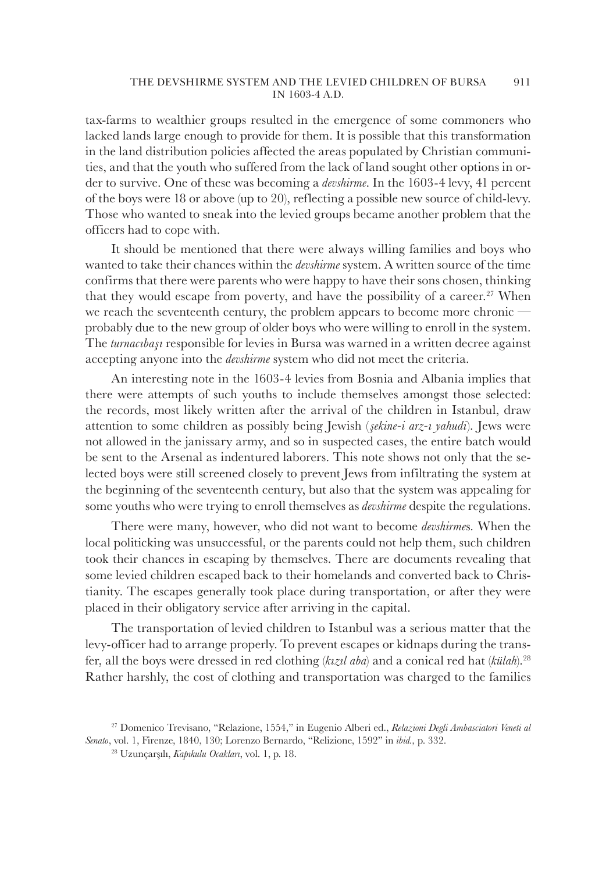tax-farms to wealthier groups resulted in the emergence of some commoners who lacked lands large enough to provide for them. It is possible that this transformation in the land distribution policies affected the areas populated by Christian communities, and that the youth who suffered from the lack of land sought other options in order to survive. One of these was becoming a *devshirme*. In the 1603-4 levy, 41 percent of the boys were 18 or above (up to 20), reflecting a possible new source of child-levy. Those who wanted to sneak into the levied groups became another problem that the officers had to cope with.

It should be mentioned that there were always willing families and boys who wanted to take their chances within the *devshirme* system. A written source of the time confirms that there were parents who were happy to have their sons chosen, thinking that they would escape from poverty, and have the possibility of a career.<sup>27</sup> When we reach the seventeenth century, the problem appears to become more chronic – probably due to the new group of older boys who were willing to enroll in the system. The *turnacıbaşı* responsible for levies in Bursa was warned in a written decree against accepting anyone into the *devshirme* system who did not meet the criteria.

An interesting note in the 1603-4 levies from Bosnia and Albania implies that there were attempts of such youths to include themselves amongst those selected: the records, most likely written after the arrival of the children in Istanbul, draw attention to some children as possibly being Jewish (*şekine-i arz-ı yahudi*). Jews were not allowed in the janissary army, and so in suspected cases, the entire batch would be sent to the Arsenal as indentured laborers. This note shows not only that the selected boys were still screened closely to prevent Jews from infiltrating the system at the beginning of the seventeenth century, but also that the system was appealing for some youths who were trying to enroll themselves as *devshirme* despite the regulations.

There were many, however, who did not want to become *devshirme*s*.* When the local politicking was unsuccessful, or the parents could not help them, such children took their chances in escaping by themselves. There are documents revealing that some levied children escaped back to their homelands and converted back to Christianity. The escapes generally took place during transportation, or after they were placed in their obligatory service after arriving in the capital.

The transportation of levied children to Istanbul was a serious matter that the levy-officer had to arrange properly. To prevent escapes or kidnaps during the transfer, all the boys were dressed in red clothing (*kızıl aba*) and a conical red hat (*külah*).<sup>28</sup> Rather harshly, the cost of clothing and transportation was charged to the families

<sup>27</sup> Domenico Trevisano, "Relazione, 1554," in Eugenio Alberi ed., *Relazioni Degli Ambasciatori Veneti al Senato*, vol. 1, Firenze, 1840, 130; Lorenzo Bernardo, "Relizione, 1592" in *ibid.,* p. 332.

<sup>28</sup> Uzunçarşılı, *Kapıkulu Ocakları*, vol. 1, p. 18.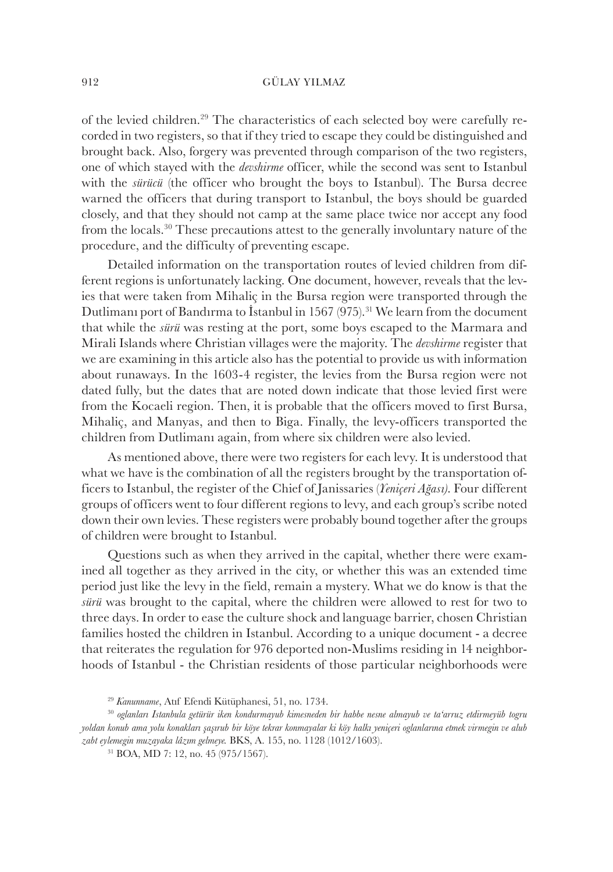of the levied children.29 The characteristics of each selected boy were carefully recorded in two registers, so that if they tried to escape they could be distinguished and brought back. Also, forgery was prevented through comparison of the two registers, one of which stayed with the *devshirme* officer, while the second was sent to Istanbul with the *sürücü* (the officer who brought the boys to Istanbul). The Bursa decree warned the officers that during transport to Istanbul, the boys should be guarded closely, and that they should not camp at the same place twice nor accept any food from the locals.<sup>30</sup> These precautions attest to the generally involuntary nature of the procedure, and the difficulty of preventing escape.

Detailed information on the transportation routes of levied children from different regions is unfortunately lacking. One document, however, reveals that the levies that were taken from Mihaliç in the Bursa region were transported through the Dutlimanı port of Bandırma to İstanbul in 1567 (975).<sup>31</sup> We learn from the document that while the *sürü* was resting at the port, some boys escaped to the Marmara and Mirali Islands where Christian villages were the majority. The *devshirme* register that we are examining in this article also has the potential to provide us with information about runaways. In the 1603-4 register, the levies from the Bursa region were not dated fully, but the dates that are noted down indicate that those levied first were from the Kocaeli region. Then, it is probable that the officers moved to first Bursa, Mihaliç, and Manyas, and then to Biga. Finally, the levy-officers transported the children from Dutlimanı again, from where six children were also levied.

As mentioned above, there were two registers for each levy. It is understood that what we have is the combination of all the registers brought by the transportation officers to Istanbul, the register of the Chief of Janissaries (*Yeniçeri Ağası)*. Four different groups of officers went to four different regions to levy, and each group's scribe noted down their own levies. These registers were probably bound together after the groups of children were brought to Istanbul.

Questions such as when they arrived in the capital, whether there were examined all together as they arrived in the city, or whether this was an extended time period just like the levy in the field, remain a mystery. What we do know is that the *sürü* was brought to the capital, where the children were allowed to rest for two to three days. In order to ease the culture shock and language barrier, chosen Christian families hosted the children in Istanbul. According to a unique document - a decree that reiterates the regulation for 976 deported non-Muslims residing in 14 neighborhoods of Istanbul - the Christian residents of those particular neighborhoods were

<sup>29</sup> *Kanunname*, Atıf Efendi Kütüphanesi, 51, no. 1734.

<sup>30</sup> *oglanları Istanbula getürür iken kondurmayub kimesneden bir habbe nesne almayub ve ta'arruz etdirmeyüb togru yoldan konub ama yolu konakları şaşırub bir köye tekrar konmayalar ki köy halkı yeniçeri oglanlarına etmek virmegin ve alub zabt eylemegin muzayaka lâzım gelmeye.* BKS, A. 155, no. 1128 (1012/1603).

<sup>31</sup> BOA, MD 7: 12, no. 45 (975/1567).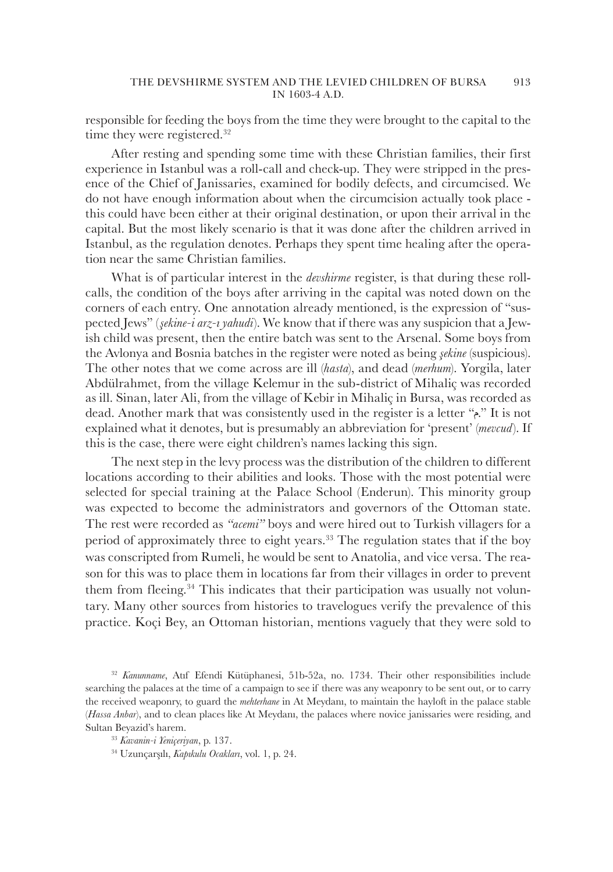responsible for feeding the boys from the time they were brought to the capital to the time they were registered.<sup>32</sup>

After resting and spending some time with these Christian families, their first experience in Istanbul was a roll-call and check-up. They were stripped in the presence of the Chief of Janissaries, examined for bodily defects, and circumcised. We do not have enough information about when the circumcision actually took place this could have been either at their original destination, or upon their arrival in the capital. But the most likely scenario is that it was done after the children arrived in Istanbul, as the regulation denotes. Perhaps they spent time healing after the operation near the same Christian families.

What is of particular interest in the *devshirme* register, is that during these rollcalls, the condition of the boys after arriving in the capital was noted down on the corners of each entry. One annotation already mentioned, is the expression of "suspected Jews" (*şekine-i arz-ı yahudi*). We know that if there was any suspicion that a Jewish child was present, then the entire batch was sent to the Arsenal. Some boys from the Avlonya and Bosnia batches in the register were noted as being *şekine* (suspicious). The other notes that we come across are ill (*hasta*), and dead (*merhum*). Yorgila, later Abdülrahmet, from the village Kelemur in the sub-district of Mihaliç was recorded as ill. Sinan, later Ali, from the village of Kebir in Mihaliç in Bursa, was recorded as dead. Another mark that was consistently used in the register is a letter "." It is not explained what it denotes, but is presumably an abbreviation for 'present' (*mevcud*). If this is the case, there were eight children's names lacking this sign.

The next step in the levy process was the distribution of the children to different locations according to their abilities and looks. Those with the most potential were selected for special training at the Palace School (Enderun). This minority group was expected to become the administrators and governors of the Ottoman state. The rest were recorded as *"acemi"* boys and were hired out to Turkish villagers for a period of approximately three to eight years.<sup>33</sup> The regulation states that if the boy was conscripted from Rumeli, he would be sent to Anatolia, and vice versa. The reason for this was to place them in locations far from their villages in order to prevent them from fleeing.<sup>34</sup> This indicates that their participation was usually not voluntary. Many other sources from histories to travelogues verify the prevalence of this practice. Koçi Bey, an Ottoman historian, mentions vaguely that they were sold to

<sup>32</sup> *Kanunname*, Atıf Efendi Kütüphanesi, 51b-52a, no. 1734. Their other responsibilities include searching the palaces at the time of a campaign to see if there was any weaponry to be sent out, or to carry the received weaponry, to guard the *mehterhane* in At Meydanı, to maintain the hayloft in the palace stable (*Hassa Anbar*), and to clean places like At Meydanı, the palaces where novice janissaries were residing, and Sultan Beyazid's harem.

<sup>33</sup> *Kavanin-i Yeniçeriyan*, p. 137.

<sup>34</sup> Uzunçarşılı, *Kapıkulu Ocakları*, vol. 1, p. 24.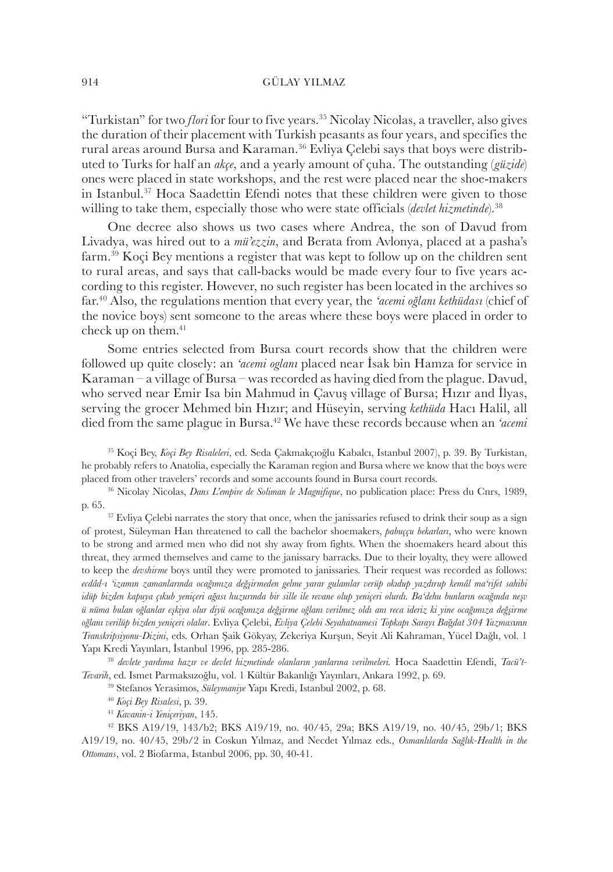"Turkistan" for two *flori* for four to five years.<sup>35</sup> Nicolay Nicolas, a traveller, also gives the duration of their placement with Turkish peasants as four years, and specifies the rural areas around Bursa and Karaman.<sup>36</sup> Evliya Çelebi says that boys were distributed to Turks for half an *akçe*, and a yearly amount of çuha. The outstanding (*güzide*) ones were placed in state workshops, and the rest were placed near the shoe-makers in Istanbul.<sup>37</sup> Hoca Saadettin Efendi notes that these children were given to those willing to take them, especially those who were state officials *(devlet hizmetinde*).<sup>38</sup>

One decree also shows us two cases where Andrea, the son of Davud from Livadya, was hired out to a *mü'ezzin*, and Berata from Avlonya, placed at a pasha's farm.<sup>39</sup> Koçi Bey mentions a register that was kept to follow up on the children sent to rural areas, and says that call-backs would be made every four to five years according to this register. However, no such register has been located in the archives so far.<sup>40</sup> Also, the regulations mention that every year, the *'acemi oğlanı kethüdası* (chief of the novice boys) sent someone to the areas where these boys were placed in order to check up on them.<sup>41</sup>

Some entries selected from Bursa court records show that the children were followed up quite closely: an *'acemi oglanı* placed near İsak bin Hamza for service in Karaman – a village of Bursa – was recorded as having died from the plague. Davud, who served near Emir Isa bin Mahmud in Çavuş village of Bursa; Hızır and İlyas, serving the grocer Mehmed bin Hızır; and Hüseyin, serving *kethüda* Hacı Halil, all died from the same plague in Bursa.<sup>42</sup> We have these records because when an *'acemi*

<sup>35</sup> Koçi Bey, *Koçi Bey Risaleleri*, ed. Seda Çakmakçıoğlu Kabalcı, Istanbul 2007), p. 39. By Turkistan, he probably refers to Anatolia, especially the Karaman region and Bursa where we know that the boys were placed from other travelers' records and some accounts found in Bursa court records.

<sup>36</sup> Nicolay Nicolas, *Dans L'empire de Soliman le Magnifique*, no publication place: Press du Cnrs, 1989, p. 65.

<sup>37</sup> Evliya Çelebi narrates the story that once, when the janissaries refused to drink their soup as a sign of protest, Süleyman Han threatened to call the bachelor shoemakers, *pabuççu bekarları*, who were known to be strong and armed men who did not shy away from fights. When the shoemakers heard about this threat, they armed themselves and came to the janissary barracks. Due to their loyalty, they were allowed to keep the *devshirme* boys until they were promoted to janissaries. Their request was recorded as follows: *ecdâd-ı 'izamın zamanlarında ocağımıza değşirmeden gelme yarar gulamlar verüp okıdup yazdırup kemâl ma'rifet sahibi idüp bizden kapuya çıkub yeniçeri ağası huzurında bir sille ile revane olup yeniçeri olurdı. Ba'dehu bunların ocağında neşv ü nüma bulan oğlanlar eşkiya olur diyü ocağımıza değşirme oğlanı verilmez oldı anı reca ideriz ki yine ocağımıza değşirme oğlanı verilüp bizden yeniçeri olalar*. Evliya Çelebi, *Evliya Çelebi Seyahatnamesi Topkapı Sarayı Ba*ğ*dat 304 Yazmas*ı*n*ı*n Transkripsiyonu-Dizini*, eds. Orhan Şaik Gökyay, Zekeriya Kurşun, Seyit Ali Kahraman, Yücel Dağlı, vol. 1 Yapı Kredi Yayınları, İstanbul 1996, pp. 285-286.

<sup>38</sup> *devlete yardıma hazır ve devlet hizmetinde olanların yanlarına verilmeleri.* Hoca Saadettin Efendi, *Tacü't-Tevarih*, ed. Ismet Parmaksızoğlu, vol. 1 Kültür Bakanlığı Yayınları, Ankara 1992, p. 69.

<sup>39</sup> Stefanos Yerasimos, *Süleymaniye* Yapı Kredi, Istanbul 2002, p. 68.

<sup>40</sup> *Koçi Bey Risalesi*, p. 39.

<sup>41</sup> *Kavanin-i Yeniçeriyan*, 145.

<sup>42</sup> BKS A19/19, 143/b2; BKS A19/19, no. 40/45, 29a; BKS A19/19, no. 40/45, 29b/1; BKS A19/19, no. 40/45, 29b/2 in Coskun Yılmaz, and Necdet Yılmaz eds., *Osmanlılarda Sağlık-Health in the Ottomans*, vol. 2 Biofarma, Istanbul 2006, pp. 30, 40-41.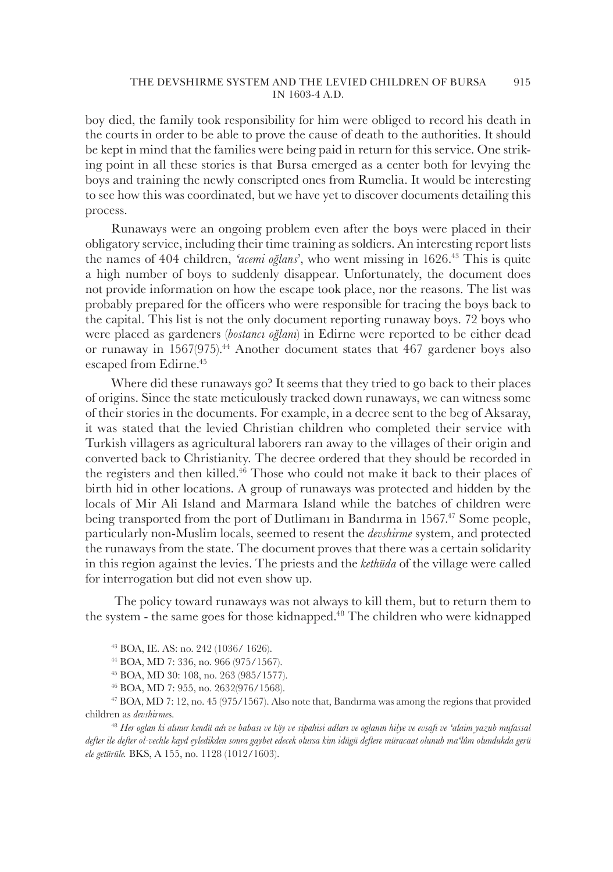boy died, the family took responsibility for him were obliged to record his death in the courts in order to be able to prove the cause of death to the authorities. It should be kept in mind that the families were being paid in return for this service. One striking point in all these stories is that Bursa emerged as a center both for levying the boys and training the newly conscripted ones from Rumelia. It would be interesting to see how this was coordinated, but we have yet to discover documents detailing this process.

Runaways were an ongoing problem even after the boys were placed in their obligatory service, including their time training as soldiers. An interesting report lists the names of 404 children, *'acemi oğlans*', who went missing in 1626.<sup>43</sup> This is quite a high number of boys to suddenly disappear. Unfortunately, the document does not provide information on how the escape took place, nor the reasons. The list was probably prepared for the officers who were responsible for tracing the boys back to the capital. This list is not the only document reporting runaway boys. 72 boys who were placed as gardeners (*bostancı oğlanı*) in Edirne were reported to be either dead or runaway in  $1567(975)$ <sup>44</sup> Another document states that  $467$  gardener boys also escaped from Edirne.<sup>45</sup>

Where did these runaways go? It seems that they tried to go back to their places of origins. Since the state meticulously tracked down runaways, we can witness some of their stories in the documents. For example, in a decree sent to the beg of Aksaray, it was stated that the levied Christian children who completed their service with Turkish villagers as agricultural laborers ran away to the villages of their origin and converted back to Christianity. The decree ordered that they should be recorded in the registers and then killed.<sup>46</sup> Those who could not make it back to their places of birth hid in other locations. A group of runaways was protected and hidden by the locals of Mir Ali Island and Marmara Island while the batches of children were being transported from the port of Dutlimani in Bandirma in 1567<sup>47</sup> Some people, particularly non-Muslim locals, seemed to resent the *devshirme* system, and protected the runaways from the state. The document proves that there was a certain solidarity in this region against the levies. The priests and the *kethüda* of the village were called for interrogation but did not even show up.

 The policy toward runaways was not always to kill them, but to return them to the system - the same goes for those kidnapped.<sup>48</sup> The children who were kidnapped

- <sup>44</sup> BOA, MD 7: 336, no. 966 (975/1567).
- <sup>45</sup> BOA, MD 30: 108, no. 263 (985/1577).
- <sup>46</sup> BOA, MD 7: 955, no. 2632(976/1568).

<sup>47</sup> BOA, MD 7: 12, no. 45 (975/1567). Also note that, Bandırma was among the regions that provided children as *devshirme*s.

<sup>48</sup> *Her oglan ki alınur kendü adı ve babası ve köy ve sipahisi adları ve oglanın hilye ve evsafı ve 'alaim yazub mufassal defter ile defter ol-vechle kayd eyledikden sonra gaybet edecek olursa kim idügü deftere müracaat olunub ma'lûm olundukda gerü ele getürüle.* BKS, A 155, no. 1128 (1012/1603).

<sup>43</sup> BOA, IE. AS: no. 242 (1036/ 1626).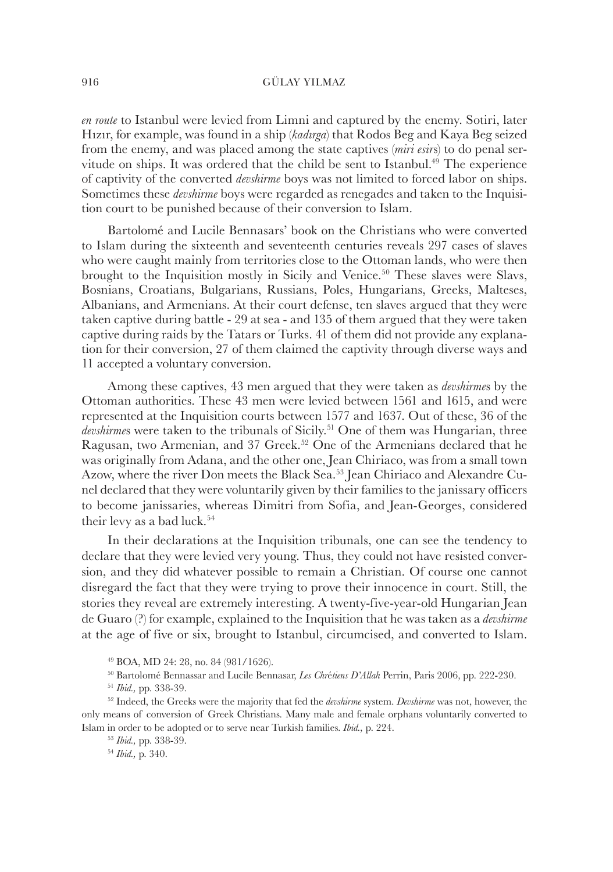*en route* to Istanbul were levied from Limni and captured by the enemy. Sotiri, later Hızır, for example, was found in a ship (*kadırga*) that Rodos Beg and Kaya Beg seized from the enemy, and was placed among the state captives (*miri esir*s) to do penal servitude on ships. It was ordered that the child be sent to Istanbul.<sup>49</sup> The experience of captivity of the converted *devshirme* boys was not limited to forced labor on ships. Sometimes these *devshirme* boys were regarded as renegades and taken to the Inquisition court to be punished because of their conversion to Islam.

Bartolomé and Lucile Bennasars' book on the Christians who were converted to Islam during the sixteenth and seventeenth centuries reveals 297 cases of slaves who were caught mainly from territories close to the Ottoman lands, who were then brought to the Inquisition mostly in Sicily and Venice.<sup>50</sup> These slaves were Slavs, Bosnians, Croatians, Bulgarians, Russians, Poles, Hungarians, Greeks, Malteses, Albanians, and Armenians. At their court defense, ten slaves argued that they were taken captive during battle - 29 at sea - and 135 of them argued that they were taken captive during raids by the Tatars or Turks. 41 of them did not provide any explanation for their conversion, 27 of them claimed the captivity through diverse ways and 11 accepted a voluntary conversion.

Among these captives, 43 men argued that they were taken as *devshirme*s by the Ottoman authorities. These 43 men were levied between 1561 and 1615, and were represented at the Inquisition courts between 1577 and 1637. Out of these, 36 of the devshirmes were taken to the tribunals of Sicily.<sup>51</sup> One of them was Hungarian, three Ragusan, two Armenian, and 37 Greek.<sup>52</sup> One of the Armenians declared that he was originally from Adana, and the other one, Jean Chiriaco, was from a small town Azow, where the river Don meets the Black Sea.53 Jean Chiriaco and Alexandre Cunel declared that they were voluntarily given by their families to the janissary officers to become janissaries, whereas Dimitri from Sofia, and Jean-Georges, considered their levy as a bad luck.<sup>54</sup>

In their declarations at the Inquisition tribunals, one can see the tendency to declare that they were levied very young. Thus, they could not have resisted conversion, and they did whatever possible to remain a Christian. Of course one cannot disregard the fact that they were trying to prove their innocence in court. Still, the stories they reveal are extremely interesting. A twenty-five-year-old Hungarian Jean de Guaro (?) for example, explained to the Inquisition that he was taken as a *devshirme* at the age of five or six, brought to Istanbul, circumcised, and converted to Islam.

<sup>49</sup> BOA, MD 24: 28, no. 84 (981/1626).

<sup>50</sup> Bartolomé Bennassar and Lucile Bennasar, *Les Chr*é*tiens D'Allah* Perrin, Paris 2006, pp. 222-230.

<sup>51</sup> *Ibid.,* pp. 338-39.

<sup>52</sup> Indeed, the Greeks were the majority that fed the *devshirme* system. *Devshirme* was not, however, the only means of conversion of Greek Christians. Many male and female orphans voluntarily converted to Islam in order to be adopted or to serve near Turkish families. *Ibid.,* p. 224.

<sup>53</sup> *Ibid.,* pp. 338-39.

<sup>54</sup> *Ibid.,* p. 340.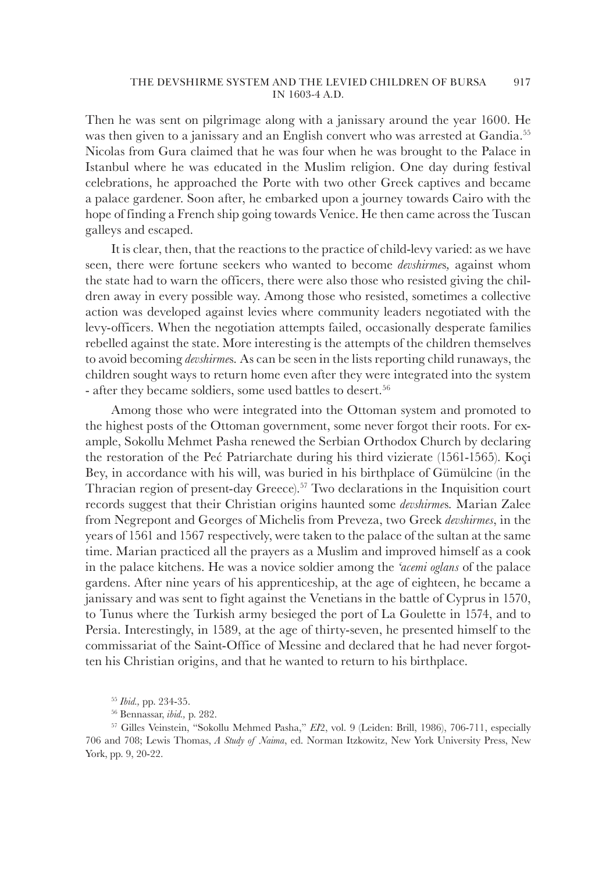Then he was sent on pilgrimage along with a janissary around the year 1600. He was then given to a janissary and an English convert who was arrested at Gandia.<sup>55</sup> Nicolas from Gura claimed that he was four when he was brought to the Palace in Istanbul where he was educated in the Muslim religion. One day during festival celebrations, he approached the Porte with two other Greek captives and became a palace gardener. Soon after, he embarked upon a journey towards Cairo with the hope of finding a French ship going towards Venice. He then came across the Tuscan galleys and escaped.

It is clear, then, that the reactions to the practice of child-levy varied: as we have seen, there were fortune seekers who wanted to become *devshirme*s*,* against whom the state had to warn the officers, there were also those who resisted giving the children away in every possible way. Among those who resisted, sometimes a collective action was developed against levies where community leaders negotiated with the levy-officers. When the negotiation attempts failed, occasionally desperate families rebelled against the state. More interesting is the attempts of the children themselves to avoid becoming *devshirme*s*.* As can be seen in the lists reporting child runaways, the children sought ways to return home even after they were integrated into the system - after they became soldiers, some used battles to desert.<sup>56</sup>

Among those who were integrated into the Ottoman system and promoted to the highest posts of the Ottoman government, some never forgot their roots. For example, Sokollu Mehmet Pasha renewed the Serbian Orthodox Church by declaring the restoration of the Peć Patriarchate during his third vizierate (1561-1565). Koçi Bey, in accordance with his will, was buried in his birthplace of Gümülcine (in the Thracian region of present-day Greece).<sup>57</sup> Two declarations in the Inquisition court records suggest that their Christian origins haunted some *devshirme*s*.* Marian Zalee from Negrepont and Georges of Michelis from Preveza, two Greek *devshirmes*, in the years of 1561 and 1567 respectively, were taken to the palace of the sultan at the same time. Marian practiced all the prayers as a Muslim and improved himself as a cook in the palace kitchens. He was a novice soldier among the *'acemi oglans* of the palace gardens. After nine years of his apprenticeship, at the age of eighteen, he became a janissary and was sent to fight against the Venetians in the battle of Cyprus in 1570, to Tunus where the Turkish army besieged the port of La Goulette in 1574, and to Persia. Interestingly, in 1589, at the age of thirty-seven, he presented himself to the commissariat of the Saint-Office of Messine and declared that he had never forgotten his Christian origins, and that he wanted to return to his birthplace.

<sup>55</sup> *Ibid.,* pp. 234-35.

<sup>56</sup> Bennassar, *ibid.,* p. 282.

<sup>57</sup> Gilles Veinstein, "Sokollu Mehmed Pasha," *EI*2, vol. 9 (Leiden: Brill, 1986), 706-711, especially 706 and 708; Lewis Thomas, *A Study of Naima*, ed. Norman Itzkowitz, New York University Press, New York, pp. 9, 20-22.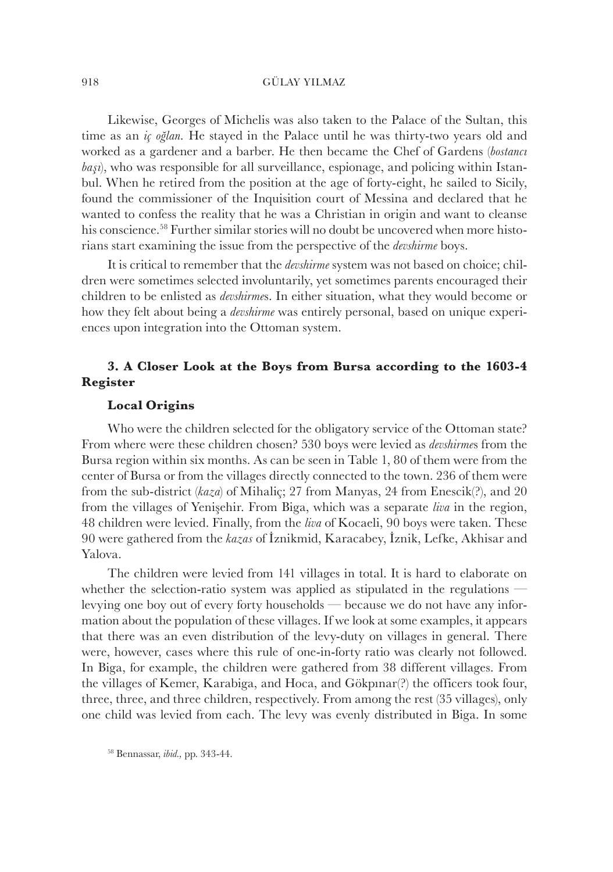Likewise, Georges of Michelis was also taken to the Palace of the Sultan, this time as an *iç oğlan.* He stayed in the Palace until he was thirty-two years old and worked as a gardener and a barber. He then became the Chef of Gardens (*bostancı başı*), who was responsible for all surveillance, espionage, and policing within Istanbul. When he retired from the position at the age of forty-eight, he sailed to Sicily, found the commissioner of the Inquisition court of Messina and declared that he wanted to confess the reality that he was a Christian in origin and want to cleanse his conscience.<sup>58</sup> Further similar stories will no doubt be uncovered when more historians start examining the issue from the perspective of the *devshirme* boys.

It is critical to remember that the *devshirme* system was not based on choice; children were sometimes selected involuntarily, yet sometimes parents encouraged their children to be enlisted as *devshirme*s. In either situation, what they would become or how they felt about being a *devshirme* was entirely personal, based on unique experiences upon integration into the Ottoman system.

## **3. A Closer Look at the Boys from Bursa according to the 1603-4 Register**

## **Local Origins**

Who were the children selected for the obligatory service of the Ottoman state? From where were these children chosen? 530 boys were levied as *devshirme*s from the Bursa region within six months. As can be seen in Table 1, 80 of them were from the center of Bursa or from the villages directly connected to the town. 236 of them were from the sub-district (*kaza*) of Mihaliç; 27 from Manyas, 24 from Enescik(?), and 20 from the villages of Yenişehir. From Biga, which was a separate *liva* in the region, 48 children were levied. Finally, from the *liva* of Kocaeli, 90 boys were taken. These 90 were gathered from the *kazas* of İznikmid, Karacabey, İznik, Lefke, Akhisar and Yalova.

The children were levied from 141 villages in total. It is hard to elaborate on whether the selection-ratio system was applied as stipulated in the regulations levying one boy out of every forty households — because we do not have any information about the population of these villages. If we look at some examples, it appears that there was an even distribution of the levy-duty on villages in general. There were, however, cases where this rule of one-in-forty ratio was clearly not followed. In Biga, for example, the children were gathered from 38 different villages. From the villages of Kemer, Karabiga, and Hoca, and Gökpınar(?) the officers took four, three, three, and three children, respectively. From among the rest (35 villages), only one child was levied from each. The levy was evenly distributed in Biga. In some

<sup>58</sup> Bennassar, *ibid.,* pp. 343-44.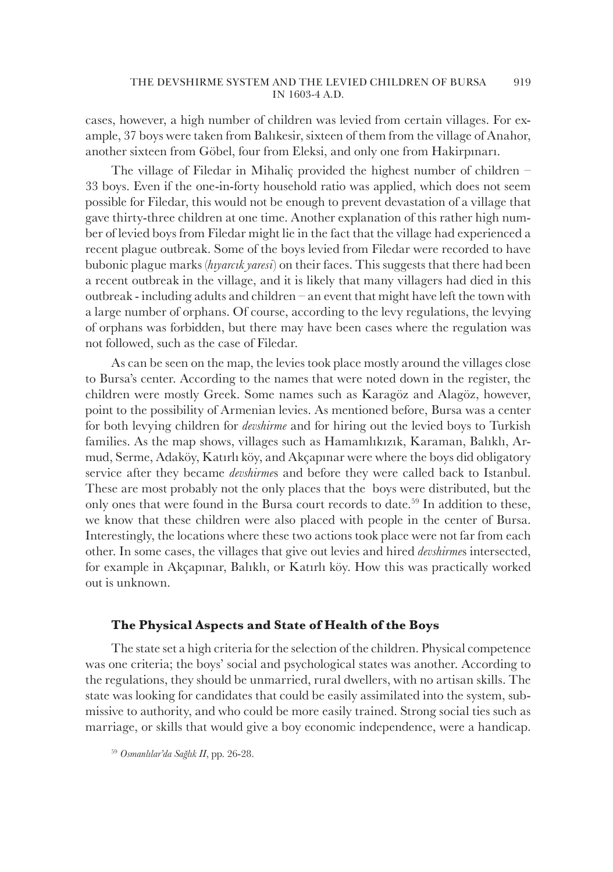cases, however, a high number of children was levied from certain villages. For example, 37 boys were taken from Balıkesir, sixteen of them from the village of Anahor, another sixteen from Göbel, four from Eleksi, and only one from Hakirpınarı.

The village of Filedar in Mihaliç provided the highest number of children – 33 boys. Even if the one-in-forty household ratio was applied, which does not seem possible for Filedar, this would not be enough to prevent devastation of a village that gave thirty-three children at one time. Another explanation of this rather high number of levied boys from Filedar might lie in the fact that the village had experienced a recent plague outbreak. Some of the boys levied from Filedar were recorded to have bubonic plague marks (*hıyarcık yaresi*) on their faces. This suggests that there had been a recent outbreak in the village, and it is likely that many villagers had died in this outbreak - including adults and children – an event that might have left the town with a large number of orphans. Of course, according to the levy regulations, the levying of orphans was forbidden, but there may have been cases where the regulation was not followed, such as the case of Filedar.

As can be seen on the map, the levies took place mostly around the villages close to Bursa's center. According to the names that were noted down in the register, the children were mostly Greek. Some names such as Karagöz and Alagöz, however, point to the possibility of Armenian levies. As mentioned before, Bursa was a center for both levying children for *devshirme* and for hiring out the levied boys to Turkish families. As the map shows, villages such as Hamamlıkızık, Karaman, Balıklı, Armud, Serme, Adaköy, Katırlı köy, and Akçapınar were where the boys did obligatory service after they became *devshirme*s and before they were called back to Istanbul. These are most probably not the only places that the boys were distributed, but the only ones that were found in the Bursa court records to date.<sup>59</sup> In addition to these, we know that these children were also placed with people in the center of Bursa. Interestingly, the locations where these two actions took place were not far from each other. In some cases, the villages that give out levies and hired *devshirme*s intersected, for example in Akçapınar, Balıklı, or Katırlı köy. How this was practically worked out is unknown.

## **The Physical Aspects and State of Health of the Boys**

The state set a high criteria for the selection of the children. Physical competence was one criteria; the boys' social and psychological states was another. According to the regulations, they should be unmarried, rural dwellers, with no artisan skills. The state was looking for candidates that could be easily assimilated into the system, submissive to authority, and who could be more easily trained. Strong social ties such as marriage, or skills that would give a boy economic independence, were a handicap.

<sup>59</sup> *Osmanlılar'da Sağlık II*, pp. 26-28.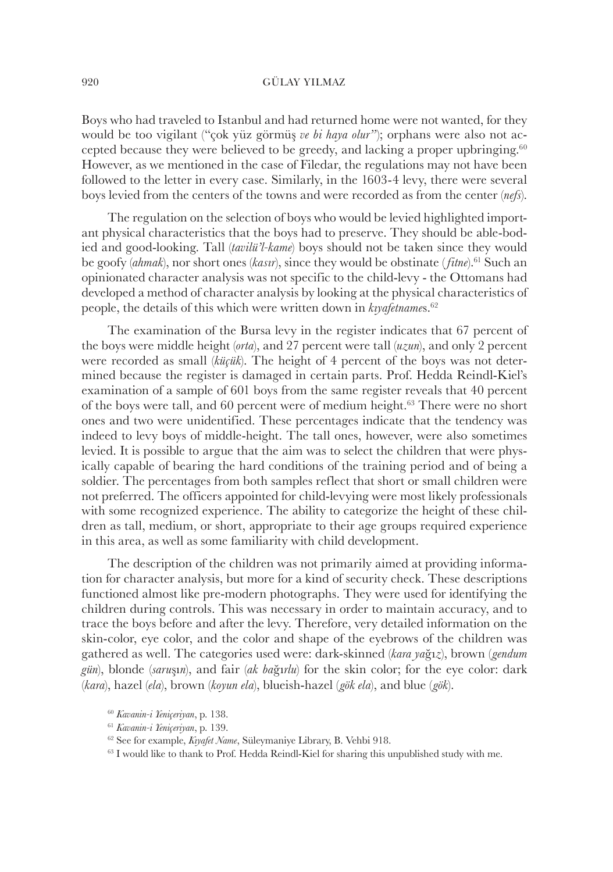Boys who had traveled to Istanbul and had returned home were not wanted, for they would be too vigilant ("çok yüz görmüş *ve bi haya olur"*); orphans were also not accepted because they were believed to be greedy, and lacking a proper upbringing.<sup>60</sup> However, as we mentioned in the case of Filedar, the regulations may not have been followed to the letter in every case. Similarly, in the 1603-4 levy, there were several boys levied from the centers of the towns and were recorded as from the center (*nefs*).

The regulation on the selection of boys who would be levied highlighted important physical characteristics that the boys had to preserve. They should be able-bodied and good-looking. Tall (*tavilü'l-kame*) boys should not be taken since they would be goofy (*ahmak*), nor short ones (*kasır*), since they would be obstinate ( *fitne*).<sup>61</sup> Such an opinionated character analysis was not specific to the child-levy - the Ottomans had developed a method of character analysis by looking at the physical characteristics of people, the details of this which were written down in *kıyafetname*s.<sup>62</sup>

The examination of the Bursa levy in the register indicates that 67 percent of the boys were middle height (*orta*), and 27 percent were tall (*uzun*), and only 2 percent were recorded as small (*küçük*). The height of 4 percent of the boys was not determined because the register is damaged in certain parts. Prof. Hedda Reindl-Kiel's examination of a sample of 601 boys from the same register reveals that 40 percent of the boys were tall, and 60 percent were of medium height.<sup>63</sup> There were no short ones and two were unidentified. These percentages indicate that the tendency was indeed to levy boys of middle-height. The tall ones, however, were also sometimes levied. It is possible to argue that the aim was to select the children that were physically capable of bearing the hard conditions of the training period and of being a soldier. The percentages from both samples reflect that short or small children were not preferred. The officers appointed for child-levying were most likely professionals with some recognized experience. The ability to categorize the height of these children as tall, medium, or short, appropriate to their age groups required experience in this area, as well as some familiarity with child development.

The description of the children was not primarily aimed at providing information for character analysis, but more for a kind of security check. These descriptions functioned almost like pre-modern photographs. They were used for identifying the children during controls. This was necessary in order to maintain accuracy, and to trace the boys before and after the levy. Therefore, very detailed information on the skin-color, eye color, and the color and shape of the eyebrows of the children was gathered as well. The categories used were: dark-skinned (*kara ya*ğı*z*), brown (*gendum gün*), blonde (*saru*şı*n*), and fair (*ak ba*ğı*rlu*) for the skin color; for the eye color: dark (*kara*), hazel (*ela*), brown (*koyun ela*), blueish-hazel (*gök ela*), and blue (*gök*).

<sup>60</sup> *Kavanin-i Yeniçeriyan*, p. 138.

<sup>61</sup> *Kavanin-i Yeniçeriyan*, p. 139.

<sup>62</sup> See for example, *Kıyafet Name*, Süleymaniye Library, B. Vehbi 918.

<sup>63</sup> I would like to thank to Prof. Hedda Reindl-Kiel for sharing this unpublished study with me.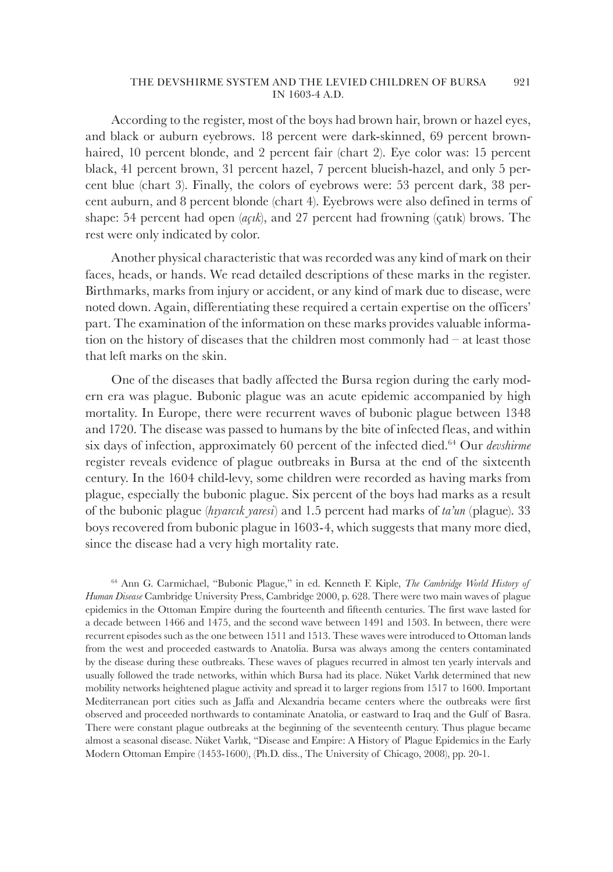According to the register, most of the boys had brown hair, brown or hazel eyes, and black or auburn eyebrows. 18 percent were dark-skinned, 69 percent brownhaired, 10 percent blonde, and 2 percent fair (chart 2). Eye color was: 15 percent black, 41 percent brown, 31 percent hazel, 7 percent blueish-hazel, and only 5 percent blue (chart 3). Finally, the colors of eyebrows were: 53 percent dark, 38 percent auburn, and 8 percent blonde (chart 4). Eyebrows were also defined in terms of shape: 54 percent had open (*açık*), and 27 percent had frowning (çatık) brows. The rest were only indicated by color.

Another physical characteristic that was recorded was any kind of mark on their faces, heads, or hands. We read detailed descriptions of these marks in the register. Birthmarks, marks from injury or accident, or any kind of mark due to disease, were noted down. Again, differentiating these required a certain expertise on the officers' part. The examination of the information on these marks provides valuable information on the history of diseases that the children most commonly had – at least those that left marks on the skin.

One of the diseases that badly affected the Bursa region during the early modern era was plague. Bubonic plague was an acute epidemic accompanied by high mortality. In Europe, there were recurrent waves of bubonic plague between 1348 and 1720. The disease was passed to humans by the bite of infected fleas, and within six days of infection, approximately 60 percent of the infected died.<sup>64</sup> Our *devshirme* register reveals evidence of plague outbreaks in Bursa at the end of the sixteenth century. In the 1604 child-levy, some children were recorded as having marks from plague, especially the bubonic plague. Six percent of the boys had marks as a result of the bubonic plague (*hıyarcık yaresi*) and 1.5 percent had marks of *ta'un* (plague). 33 boys recovered from bubonic plague in 1603-4, which suggests that many more died, since the disease had a very high mortality rate.

<sup>64</sup> Ann G. Carmichael, "Bubonic Plague," in ed. Kenneth F. Kiple, *The Cambridge World History of Human Disease* Cambridge University Press, Cambridge 2000, p. 628. There were two main waves of plague epidemics in the Ottoman Empire during the fourteenth and fifteenth centuries. The first wave lasted for a decade between 1466 and 1475, and the second wave between 1491 and 1503. In between, there were recurrent episodes such as the one between 1511 and 1513. These waves were introduced to Ottoman lands from the west and proceeded eastwards to Anatolia. Bursa was always among the centers contaminated by the disease during these outbreaks. These waves of plagues recurred in almost ten yearly intervals and usually followed the trade networks, within which Bursa had its place. Nüket Varlık determined that new mobility networks heightened plague activity and spread it to larger regions from 1517 to 1600. Important Mediterranean port cities such as Jaffa and Alexandria became centers where the outbreaks were first observed and proceeded northwards to contaminate Anatolia, or eastward to Iraq and the Gulf of Basra. There were constant plague outbreaks at the beginning of the seventeenth century. Thus plague became almost a seasonal disease. Nüket Varlık, "Disease and Empire: A History of Plague Epidemics in the Early Modern Ottoman Empire (1453-1600), (Ph.D. diss., The University of Chicago, 2008), pp. 20-1.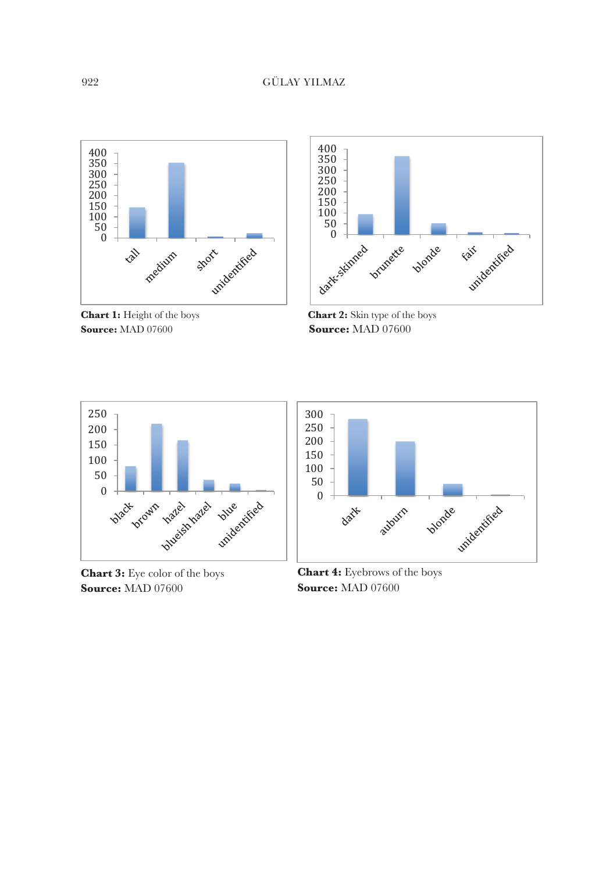

**Chart 1:** Height of the boys **Chart 2: Source:** MAD 07600



**Chart 2:** Skin type of the boys **Source: Source:** MAD 07600



**Chart 3:** Eye color of the boys **Chart 4:** Eyebr **Source:** MAD 07600 **Source: Source: Source:** MAD 07600



**Chart 3:** Eye color of the boys **Chart 4:** Eyebrows of the boys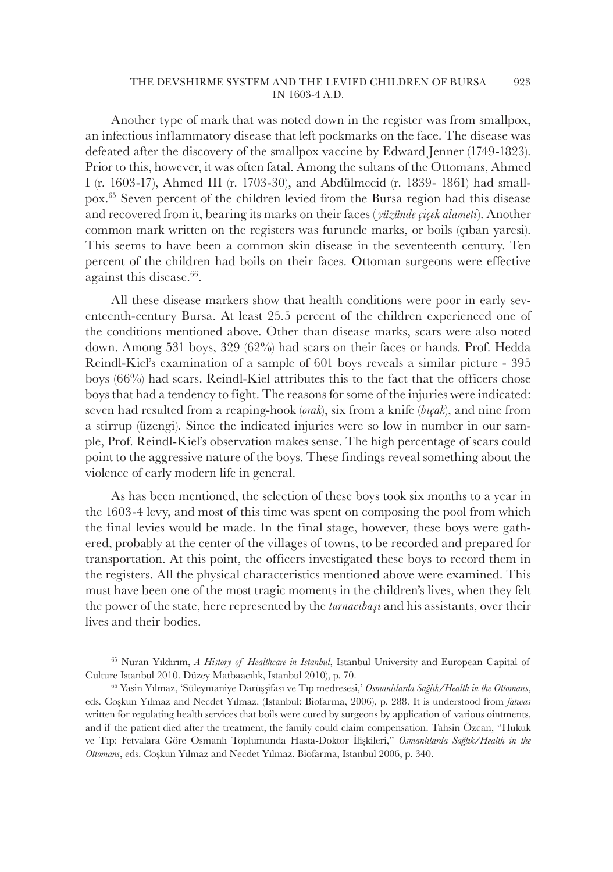Another type of mark that was noted down in the register was from smallpox, an infectious inflammatory disease that left pockmarks on the face. The disease was defeated after the discovery of the smallpox vaccine by Edward Jenner (1749-1823). Prior to this, however, it was often fatal. Among the sultans of the Ottomans, Ahmed I (r. 1603-17), Ahmed III (r. 1703-30), and Abdülmecid (r. 1839- 1861) had smallpox.<sup>65</sup> Seven percent of the children levied from the Bursa region had this disease and recovered from it, bearing its marks on their faces (*yüzünde çiçek alameti*). Another common mark written on the registers was furuncle marks, or boils (çıban yaresi). This seems to have been a common skin disease in the seventeenth century. Ten percent of the children had boils on their faces. Ottoman surgeons were effective against this disease.<sup>66</sup>.

All these disease markers show that health conditions were poor in early seventeenth-century Bursa. At least 25.5 percent of the children experienced one of the conditions mentioned above. Other than disease marks, scars were also noted down. Among 531 boys, 329 (62%) had scars on their faces or hands. Prof. Hedda Reindl-Kiel's examination of a sample of 601 boys reveals a similar picture - 395 boys (66%) had scars. Reindl-Kiel attributes this to the fact that the officers chose boys that had a tendency to fight. The reasons for some of the injuries were indicated: seven had resulted from a reaping-hook (*orak*), six from a knife (*bıçak*), and nine from a stirrup (üzengi). Since the indicated injuries were so low in number in our sample, Prof. Reindl-Kiel's observation makes sense. The high percentage of scars could point to the aggressive nature of the boys. These findings reveal something about the violence of early modern life in general.

As has been mentioned, the selection of these boys took six months to a year in the 1603-4 levy, and most of this time was spent on composing the pool from which the final levies would be made. In the final stage, however, these boys were gathered, probably at the center of the villages of towns, to be recorded and prepared for transportation. At this point, the officers investigated these boys to record them in the registers. All the physical characteristics mentioned above were examined. This must have been one of the most tragic moments in the children's lives, when they felt the power of the state, here represented by the *turnacıbaşı* and his assistants, over their lives and their bodies.

<sup>65</sup> Nuran Yıldırım, *A History of Healthcare in Istanbul*, Istanbul University and European Capital of Culture Istanbul 2010. Düzey Matbaacılık, Istanbul 2010), p. 70.

<sup>66</sup> Yasin Yılmaz, 'Süleymaniye Darüşşifası ve Tıp medresesi,' *Osmanlılarda Sağlık/Health in the Ottomans*, eds. Coşkun Yılmaz and Necdet Yılmaz. (Istanbul: Biofarma, 2006), p. 288. It is understood from *fatwas* written for regulating health services that boils were cured by surgeons by application of various ointments, and if the patient died after the treatment, the family could claim compensation. Tahsin Özcan, "Hukuk ve Tıp: Fetvalara Göre Osmanlı Toplumunda Hasta-Doktor İlişkileri," *Osmanlılarda Sağlık/Health in the Ottomans*, eds. Coşkun Yılmaz and Necdet Yılmaz. Biofarma, Istanbul 2006, p. 340.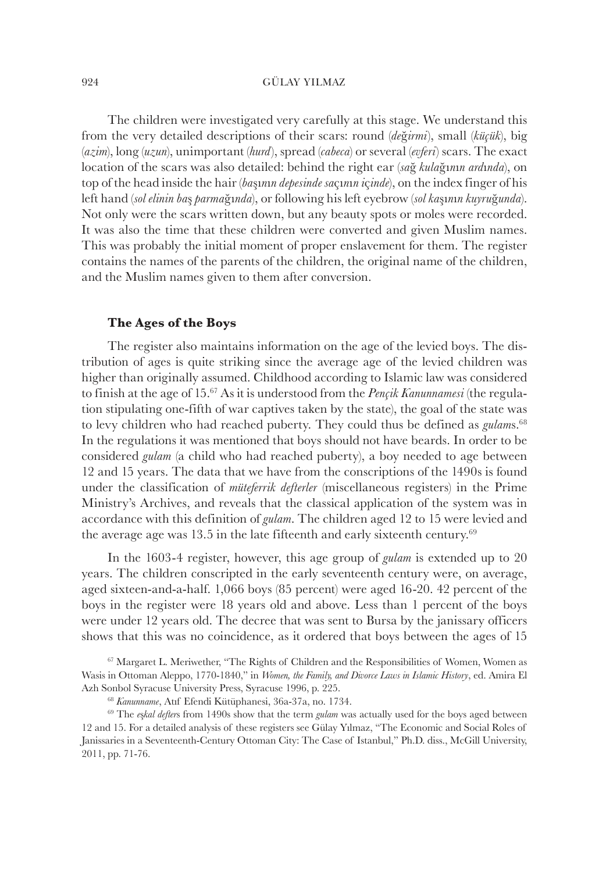The children were investigated very carefully at this stage. We understand this from the very detailed descriptions of their scars: round (*de*ğ*irmi*), small (*küçük*), big (*azim*), long (*uzun*), unimportant (*hurd*), spread (*cabeca*) or several (*evferi*) scars. The exact location of the scars was also detailed: behind the right ear (*sa*ğ *kula*ğı*n*ı*n ard*ı*nda*), on top of the head inside the hair (*ba*şı*n*ı*n depesinde sa*çı*n*ı*n i*ç*inde*), on the index finger of his left hand (*sol elinin ba*ş *parma*ğı*nda*), or following his left eyebrow (*sol ka*şı*n*ı*n kuyru*ğ*unda*). Not only were the scars written down, but any beauty spots or moles were recorded. It was also the time that these children were converted and given Muslim names. This was probably the initial moment of proper enslavement for them. The register contains the names of the parents of the children, the original name of the children, and the Muslim names given to them after conversion.

## **The Ages of the Boys**

The register also maintains information on the age of the levied boys. The distribution of ages is quite striking since the average age of the levied children was higher than originally assumed. Childhood according to Islamic law was considered to finish at the age of 15.67 As it is understood from the *Pençik Kanunnamesi* (the regulation stipulating one-fifth of war captives taken by the state), the goal of the state was to levy children who had reached puberty. They could thus be defined as *gulam*s.<sup>68</sup> In the regulations it was mentioned that boys should not have beards. In order to be considered *gulam* (a child who had reached puberty), a boy needed to age between 12 and 15 years. The data that we have from the conscriptions of the 1490s is found under the classification of *müteferrik defterler* (miscellaneous registers) in the Prime Ministry's Archives, and reveals that the classical application of the system was in accordance with this definition of *gulam*. The children aged 12 to 15 were levied and the average age was 13.5 in the late fifteenth and early sixteenth century. $69$ 

In the 1603-4 register, however, this age group of *gulam* is extended up to 20 years. The children conscripted in the early seventeenth century were, on average, aged sixteen-and-a-half. 1,066 boys (85 percent) were aged 16-20. 42 percent of the boys in the register were 18 years old and above. Less than 1 percent of the boys were under 12 years old. The decree that was sent to Bursa by the janissary officers shows that this was no coincidence, as it ordered that boys between the ages of 15

<sup>67</sup> Margaret L. Meriwether, "The Rights of Children and the Responsibilities of Women, Women as Wasis in Ottoman Aleppo, 1770-1840," in *Women, the Family, and Divorce Laws in Islamic History*, ed. Amira El Azh Sonbol Syracuse University Press, Syracuse 1996, p. 225.

<sup>68</sup> *Kanunname*, Atıf Efendi Kütüphanesi, 36a-37a, no. 1734.

<sup>69</sup> The *e*ş*kal defter*s from 1490s show that the term *gulam* was actually used for the boys aged between 12 and 15. For a detailed analysis of these registers see Gülay Yılmaz, "The Economic and Social Roles of Janissaries in a Seventeenth-Century Ottoman City: The Case of Istanbul," Ph.D. diss., McGill University, 2011, pp. 71-76.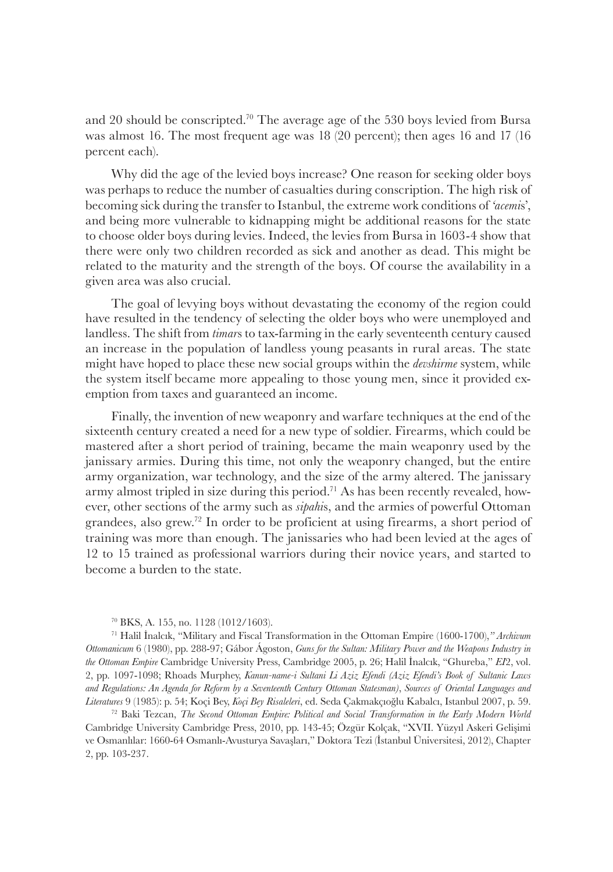and 20 should be conscripted.<sup>70</sup> The average age of the 530 boys levied from Bursa was almost 16. The most frequent age was 18 (20 percent); then ages 16 and 17 (16 percent each).

Why did the age of the levied boys increase? One reason for seeking older boys was perhaps to reduce the number of casualties during conscription. The high risk of becoming sick during the transfer to Istanbul, the extreme work conditions of *'acemi*s', and being more vulnerable to kidnapping might be additional reasons for the state to choose older boys during levies. Indeed, the levies from Bursa in 1603-4 show that there were only two children recorded as sick and another as dead. This might be related to the maturity and the strength of the boys. Of course the availability in a given area was also crucial.

The goal of levying boys without devastating the economy of the region could have resulted in the tendency of selecting the older boys who were unemployed and landless. The shift from *timar*s to tax-farming in the early seventeenth century caused an increase in the population of landless young peasants in rural areas. The state might have hoped to place these new social groups within the *devshirme* system, while the system itself became more appealing to those young men, since it provided exemption from taxes and guaranteed an income.

Finally, the invention of new weaponry and warfare techniques at the end of the sixteenth century created a need for a new type of soldier. Firearms, which could be mastered after a short period of training, became the main weaponry used by the janissary armies. During this time, not only the weaponry changed, but the entire army organization, war technology, and the size of the army altered. The janissary army almost tripled in size during this period.<sup>71</sup> As has been recently revealed, however, other sections of the army such as *sipahi*s, and the armies of powerful Ottoman grandees, also grew.<sup>72</sup> In order to be proficient at using firearms, a short period of training was more than enough. The janissaries who had been levied at the ages of 12 to 15 trained as professional warriors during their novice years, and started to become a burden to the state.

<sup>71</sup> Halil İnalcık, "Military and Fiscal Transformation in the Ottoman Empire (1600-1700),*" Archivum Ottomanicum* 6 (1980), pp. 288-97; Gábor Ágoston, *Guns for the Sultan: Military Power and the Weapons Industry in the Ottoman Empire* Cambridge University Press, Cambridge 2005, p. 26; Halil İnalcık, "Ghureba," *EI*2, vol. 2, pp. 1097-1098; Rhoads Murphey, *Kanun-name-i Sultani Li Aziz Efendi (Aziz Efendi's Book of Sultanic Laws and Regulations: An Agenda for Reform by a Seventeenth Century Ottoman Statesman)*, *Sources of Oriental Languages and Literatures* 9 (1985): p. 54; Koçi Bey, *Koçi Bey Risaleleri*, ed. Seda Çakmakçıoğlu Kabalcı, Istanbul 2007, p. 59.

<sup>72</sup> Baki Tezcan, *The Second Ottoman Empire: Political and Social Transformation in the Early Modern World*  Cambridge University Cambridge Press, 2010, pp. 143-45; Özgür Kolçak, "XVII. Yüzyıl Askeri Gelişimi ve Osmanlılar: 1660-64 Osmanlı-Avusturya Savaşları," Doktora Tezi (İstanbul Üniversitesi, 2012), Chapter 2, pp. 103-237.

<sup>70</sup> BKS, A. 155, no. 1128 (1012/1603).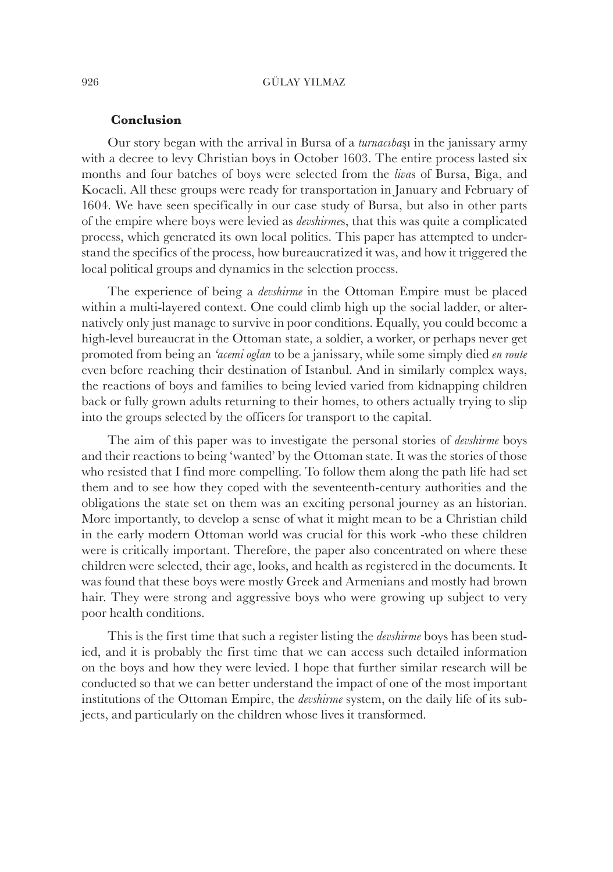## **Conclusion**

Our story began with the arrival in Bursa of a *turnacıba*şı in the janissary army with a decree to levy Christian boys in October 1603. The entire process lasted six months and four batches of boys were selected from the *liva*s of Bursa, Biga, and Kocaeli. All these groups were ready for transportation in January and February of 1604. We have seen specifically in our case study of Bursa, but also in other parts of the empire where boys were levied as *devshirme*s, that this was quite a complicated process, which generated its own local politics. This paper has attempted to understand the specifics of the process, how bureaucratized it was, and how it triggered the local political groups and dynamics in the selection process.

The experience of being a *devshirme* in the Ottoman Empire must be placed within a multi-layered context. One could climb high up the social ladder, or alternatively only just manage to survive in poor conditions. Equally, you could become a high-level bureaucrat in the Ottoman state, a soldier, a worker, or perhaps never get promoted from being an *'acemi oglan* to be a janissary, while some simply died *en route* even before reaching their destination of Istanbul. And in similarly complex ways, the reactions of boys and families to being levied varied from kidnapping children back or fully grown adults returning to their homes, to others actually trying to slip into the groups selected by the officers for transport to the capital.

The aim of this paper was to investigate the personal stories of *devshirme* boys and their reactions to being 'wanted' by the Ottoman state. It was the stories of those who resisted that I find more compelling. To follow them along the path life had set them and to see how they coped with the seventeenth-century authorities and the obligations the state set on them was an exciting personal journey as an historian. More importantly, to develop a sense of what it might mean to be a Christian child in the early modern Ottoman world was crucial for this work -who these children were is critically important. Therefore, the paper also concentrated on where these children were selected, their age, looks, and health as registered in the documents. It was found that these boys were mostly Greek and Armenians and mostly had brown hair. They were strong and aggressive boys who were growing up subject to very poor health conditions.

This is the first time that such a register listing the *devshirme* boys has been studied, and it is probably the first time that we can access such detailed information on the boys and how they were levied. I hope that further similar research will be conducted so that we can better understand the impact of one of the most important institutions of the Ottoman Empire, the *devshirme* system, on the daily life of its subjects, and particularly on the children whose lives it transformed.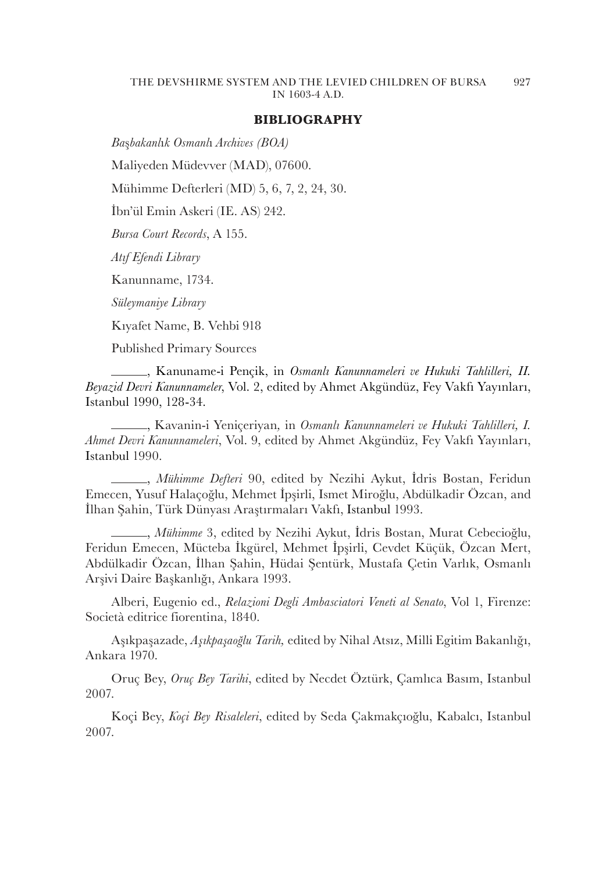## **BIBLIOGRAPHY**

*Ba*ş*bakanl*ı*k Osmanl*ı *Archives (BOA)*

Maliyeden Müdevver (MAD), 07600.

Mühimme Defterleri (MD) 5, 6, 7, 2, 24, 30.

İbn'ül Emin Askeri (IE. AS) 242.

*Bursa Court Records*, A 155.

*Atıf Efendi Library*

Kanunname, 1734.

*Süleymaniye Library*

Kıyafet Name, B. Vehbi 918

Published Primary Sources

, Kanuname-i Pençik, in *Osmanlı Kanunnameleri ve Hukuki Tahlilleri, II. Beyazid Devri Kanunnameler*, Vol. 2, edited by Ahmet Akgündüz, Fey Vakfı Yayınları, Istanbul 1990, 128-34.

, Kavanin-i Yeniçeriyan*,* in *Osmanlı Kanunnameleri ve Hukuki Tahlilleri, I. Ahmet Devri Kanunnameleri*, Vol. 9, edited by Ahmet Akgündüz, Fey Vakfı Yayınları, Istanbul 1990.

, *Mühimme Defteri* 90, edited by Nezihi Aykut, İdris Bostan, Feridun Emecen, Yusuf Halaçoğlu, Mehmet İpşirli, Ismet Miroğlu, Abdülkadir Özcan, and İlhan Şahin, Türk Dünyası Araştırmaları Vakfı, Istanbul 1993.

, *Mühimme* 3, edited by Nezihi Aykut, İdris Bostan, Murat Cebecioğlu, Feridun Emecen, Mücteba İkgürel, Mehmet İpşirli, Cevdet Küçük, Özcan Mert, Abdülkadir Özcan, İlhan Şahin, Hüdai Şentürk, Mustafa Çetin Varlık, Osmanlı Arşivi Daire Başkanlığı, Ankara 1993.

Alberi, Eugenio ed., *Relazioni Degli Ambasciatori Veneti al Senato*, Vol 1, Firenze: Società editrice fiorentina, 1840.

Aşıkpaşazade, *Aşıkpaşaoğlu Tarih,* edited by Nihal Atsız, Milli Egitim Bakanlığı, Ankara 1970.

Oruç Bey, *Oruç Bey Tarihi*, edited by Necdet Öztürk, Çamlıca Basım, Istanbul 2007.

Koçi Bey, *Koçi Bey Risaleleri*, edited by Seda Çakmakçıoğlu, Kabalcı, Istanbul 2007.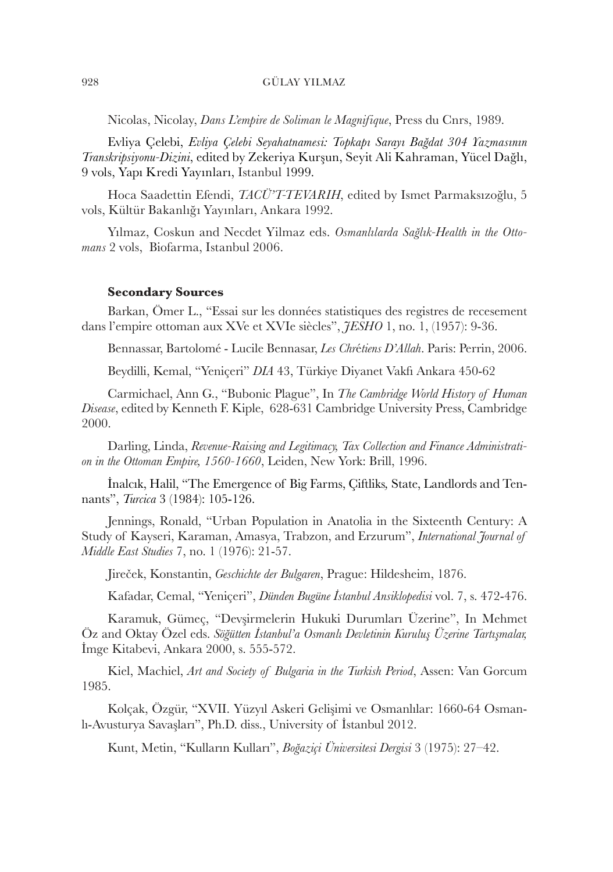Nicolas, Nicolay, *Dans L'empire de Soliman le Magnifique*, Press du Cnrs, 1989.

Evliya Çelebi, *Evliya Çelebi Seyahatnamesi: Topkapı Sarayı Bağdat 304 Yazmasının Transkripsiyonu-Dizini*, edited by Zekeriya Kurşun, Seyit Ali Kahraman, Yücel Dağlı, 9 vols, Yapı Kredi Yayınları, Istanbul 1999.

Hoca Saadettin Efendi, *TACÜ'T-TEVARIH*, edited by Ismet Parmaksızoğlu, 5 vols, Kültür Bakanlığı Yayınları, Ankara 1992.

Yılmaz, Coskun and Necdet Yilmaz eds. *Osmanlılarda Sağlık-Health in the Ottomans* 2 vols, Biofarma, Istanbul 2006.

## **Secondary Sources**

Barkan, Ömer L., "Essai sur les données statistiques des registres de recesement dans l'empire ottoman aux XVe et XVIe siècles", *JESHO* 1, no. 1, (1957): 9-36.

Bennassar, Bartolomé - Lucile Bennasar, *Les Chr*é*tiens D'Allah*. Paris: Perrin, 2006.

Beydilli, Kemal, "Yeniçeri" *DIA* 43, Türkiye Diyanet Vakfı Ankara 450-62

Carmichael, Ann G., "Bubonic Plague", In *The Cambridge World History of Human Disease*, edited by Kenneth F. Kiple, 628-631 Cambridge University Press, Cambridge 2000.

Darling, Linda, *Revenue-Raising and Legitimacy, Tax Collection and Finance Administration in the Ottoman Empire, 1560-1660*, Leiden, New York: Brill, 1996.

İnalcık, Halil, "The Emergence of Big Farms, Çiftliks*,* State, Landlords and Tennants", *Turcica* 3 (1984): 105-126.

Jennings, Ronald, "Urban Population in Anatolia in the Sixteenth Century: A Study of Kayseri, Karaman, Amasya, Trabzon, and Erzurum", *International Journal of Middle East Studies* 7, no. 1 (1976): 21-57.

Jireček, Konstantin, *Geschichte der Bulgaren*, Prague: Hildesheim, 1876.

Kafadar, Cemal, "Yeniçeri", *Dünden Bugüne İstanbul Ansiklopedisi* vol. 7, s. 472-476.

Karamuk, Gümeç, "Devşirmelerin Hukuki Durumları Üzerine", In Mehmet Öz and Oktay Özel eds. *Söğütten İstanbul'a Osmanlı Devletinin Kuruluş Üzerine Tartışmalar,* İmge Kitabevi, Ankara 2000, s. 555-572.

Kiel, Machiel, *Art and Society of Bulgaria in the Turkish Period*, Assen: Van Gorcum 1985.

Kolçak, Özgür, "XVII. Yüzyıl Askeri Gelişimi ve Osmanlılar: 1660-64 Osmanlı-Avusturya Savaşları", Ph.D. diss., University of İstanbul 2012.

Kunt, Metin, "Kulların Kulları", *Boğaziçi Üniversitesi Dergisi* 3 (1975): 27–42.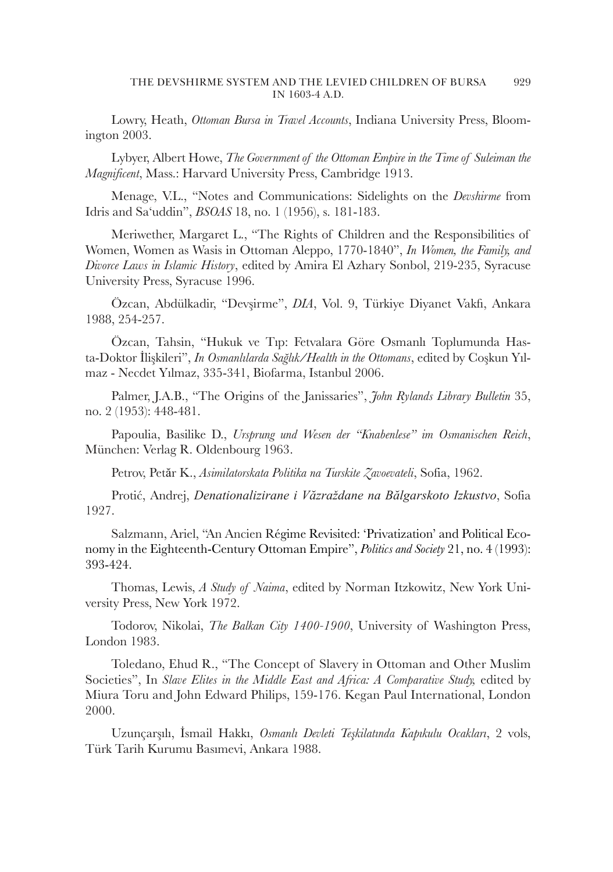Lowry, Heath, *Ottoman Bursa in Travel Accounts*, Indiana University Press, Bloomington 2003.

Lybyer, Albert Howe, *The Government of the Ottoman Empire in the Time of Suleiman the Magnificent*, Mass.: Harvard University Press, Cambridge 1913.

Menage, V.L., "Notes and Communications: Sidelights on the *Devshirme* from Idris and Sa'uddin", *BSOAS* 18, no. 1 (1956), s. 181-183.

Meriwether, Margaret L., "The Rights of Children and the Responsibilities of Women, Women as Wasis in Ottoman Aleppo, 1770-1840", *In Women, the Family, and Divorce Laws in Islamic History*, edited by Amira El Azhary Sonbol, 219-235, Syracuse University Press, Syracuse 1996.

Özcan, Abdülkadir, "Devşirme", *DIA*, Vol. 9, Türkiye Diyanet Vakfı, Ankara 1988, 254-257.

Özcan, Tahsin, "Hukuk ve Tıp: Fetvalara Göre Osmanlı Toplumunda Hasta-Doktor İlişkileri", *In Osmanlılarda Sağlık/Health in the Ottomans*, edited by Coşkun Yılmaz - Necdet Yılmaz, 335-341, Biofarma, Istanbul 2006.

Palmer, J.A.B., "The Origins of the Janissaries", *John Rylands Library Bulletin* 35, no. 2 (1953): 448-481.

Papoulia, Basilike D., *Ursprung und Wesen der "Knabenlese" im Osmanischen Reich*, München: Verlag R. Oldenbourg 1963.

Petrov, Petăr K., *Asimilatorskata Politika na Turskite Zavoevateli*, Sofia, 1962.

Protić, Andrej, *Denationalizirane i Văzraždane na Bălgarskoto Izkustvo*, Sofia 1927.

Salzmann, Ariel, "An Ancien Régime Revisited: 'Privatization' and Political Economy in the Eighteenth-Century Ottoman Empire", *Politics and Society* 21, no. 4 (1993): 393-424.

Thomas, Lewis, *A Study of Naima*, edited by Norman Itzkowitz, New York University Press, New York 1972.

Todorov, Nikolai, *The Balkan City 1400-1900*, University of Washington Press, London 1983.

Toledano, Ehud R., "The Concept of Slavery in Ottoman and Other Muslim Societies", In *Slave Elites in the Middle East and Africa: A Comparative Study*, edited by Miura Toru and John Edward Philips, 159-176. Kegan Paul International, London 2000.

Uzunçarşılı, İsmail Hakkı, *Osmanlı Devleti Teşkilatında Kapıkulu Ocakları*, 2 vols, Türk Tarih Kurumu Basımevi, Ankara 1988.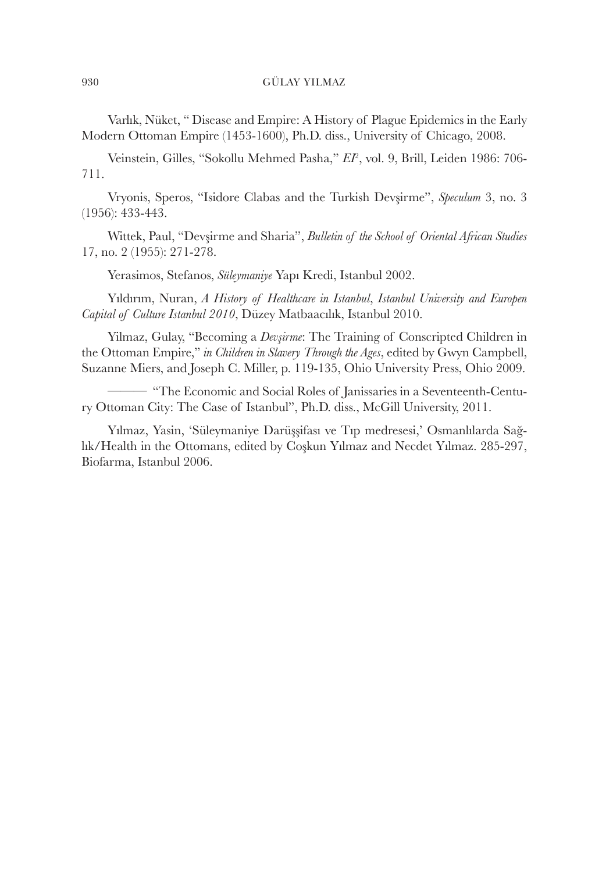Varlık, Nüket, " Disease and Empire: A History of Plague Epidemics in the Early Modern Ottoman Empire (1453-1600), Ph.D. diss., University of Chicago, 2008.

Veinstein, Gilles, "Sokollu Mehmed Pasha," *EI*<sup>2</sup> , vol. 9, Brill, Leiden 1986: 706- 711.

Vryonis, Speros, "Isidore Clabas and the Turkish Devşirme", *Speculum* 3, no. 3 (1956): 433-443.

Wittek, Paul, "Devşirme and Sharia", *Bulletin of the School of Oriental African Studies*  17, no. 2 (1955): 271-278.

Yerasimos, Stefanos, *Süleymaniye* Yapı Kredi, Istanbul 2002.

Yıldırım, Nuran, *A History of Healthcare in Istanbul*, *Istanbul University and Europen Capital of Culture Istanbul 2010*, Düzey Matbaacılık, Istanbul 2010.

Yilmaz, Gulay, "Becoming a *Devşirme*: The Training of Conscripted Children in the Ottoman Empire," *in Children in Slavery Through the Ages*, edited by Gwyn Campbell, Suzanne Miers, and Joseph C. Miller, p. 119-135, Ohio University Press, Ohio 2009.

——— "The Economic and Social Roles of Janissaries in a Seventeenth-Century Ottoman City: The Case of Istanbul", Ph.D. diss., McGill University, 2011.

Yılmaz, Yasin, 'Süleymaniye Darüşşifası ve Tıp medresesi,' Osmanlılarda Sağlık/Health in the Ottomans, edited by Coşkun Yılmaz and Necdet Yılmaz. 285-297, Biofarma, Istanbul 2006.